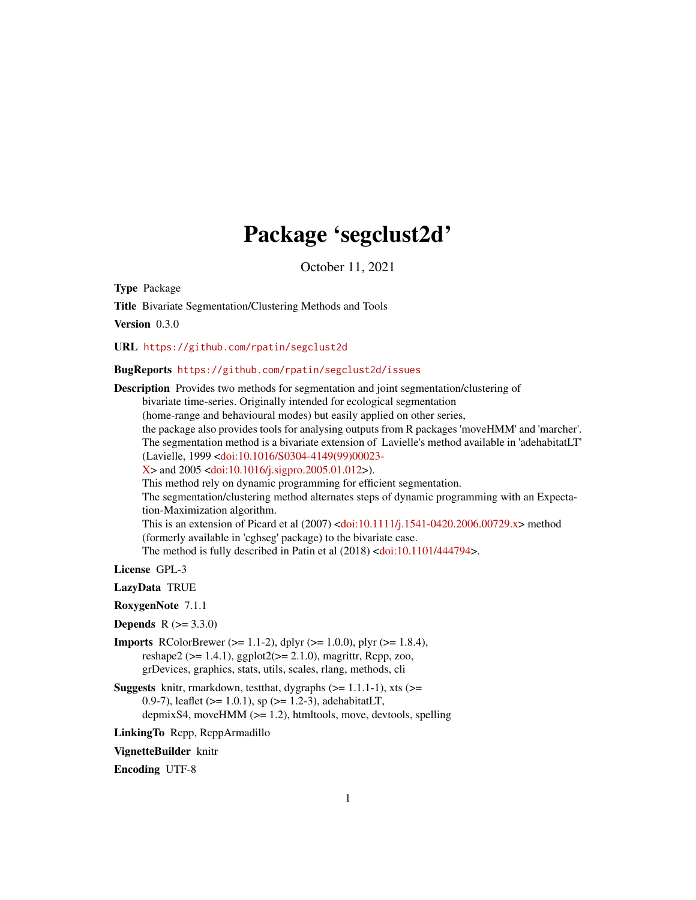# Package 'segclust2d'

October 11, 2021

Type Package

Title Bivariate Segmentation/Clustering Methods and Tools

Version 0.3.0

URL <https://github.com/rpatin/segclust2d>

# BugReports <https://github.com/rpatin/segclust2d/issues>

Description Provides two methods for segmentation and joint segmentation/clustering of bivariate time-series. Originally intended for ecological segmentation (home-range and behavioural modes) but easily applied on other series, the package also provides tools for analysing outputs from R packages 'moveHMM' and 'marcher'. The segmentation method is a bivariate extension of Lavielle's method available in 'adehabitatLT' (Lavielle, 1999 [<doi:10.1016/S0304-4149\(99\)00023-](https://doi.org/10.1016/S0304-4149(99)00023-X)  $X >$  and 2005 [<doi:10.1016/j.sigpro.2005.01.012>](https://doi.org/10.1016/j.sigpro.2005.01.012)). This method rely on dynamic programming for efficient segmentation. The segmentation/clustering method alternates steps of dynamic programming with an Expectation-Maximization algorithm. This is an extension of Picard et al (2007) [<doi:10.1111/j.1541-0420.2006.00729.x>](https://doi.org/10.1111/j.1541-0420.2006.00729.x) method (formerly available in 'cghseg' package) to the bivariate case. The method is fully described in Patin et al (2018) [<doi:10.1101/444794>](https://doi.org/10.1101/444794). License GPL-3

- LazyData TRUE
- RoxygenNote 7.1.1
- **Depends** R  $(>= 3.3.0)$
- **Imports** RColorBrewer ( $>= 1.1-2$ ), dplyr ( $>= 1.0.0$ ), plyr ( $>= 1.8.4$ ), reshape2 ( $>= 1.4.1$ ), ggplot2( $>= 2.1.0$ ), magrittr, Rcpp, zoo, grDevices, graphics, stats, utils, scales, rlang, methods, cli
- **Suggests** knitr, rmarkdown, test that, dygraphs  $(>= 1.1.1-1)$ , xts  $(>= 1.1.1-1)$ 0.9-7), leaflet ( $>= 1.0.1$ ), sp ( $>= 1.2$ -3), adehabitatLT, depmixS4, moveHMM (>= 1.2), htmltools, move, devtools, spelling
- LinkingTo Rcpp, RcppArmadillo

VignetteBuilder knitr

Encoding UTF-8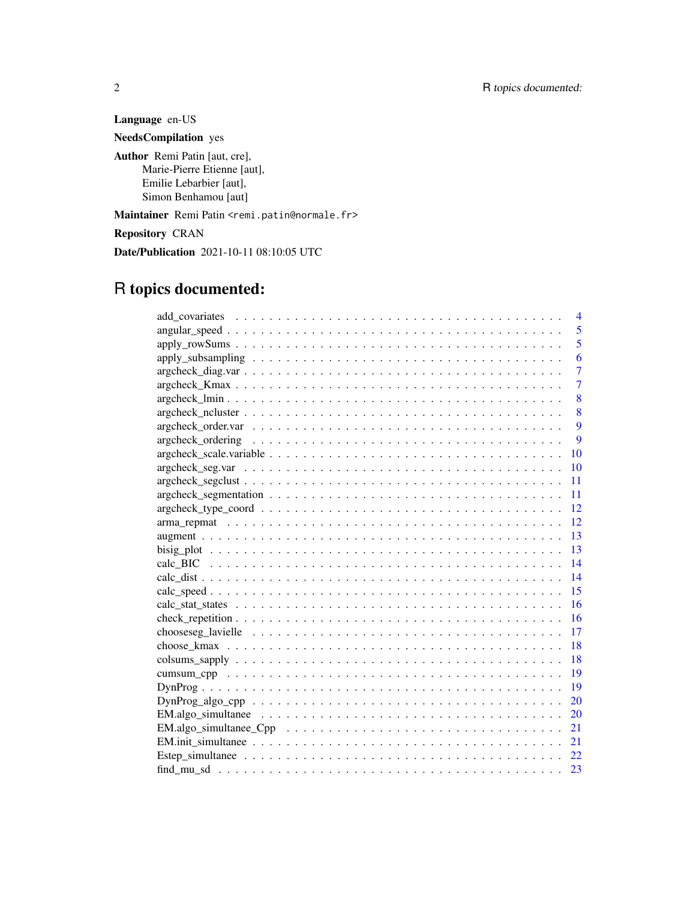Language en-US

NeedsCompilation yes

Author Remi Patin [aut, cre], Marie-Pierre Etienne [aut], Emilie Lebarbier [aut], Simon Benhamou [aut]

Maintainer Remi Patin <remi.patin@normale.fr>

Repository CRAN

Date/Publication 2021-10-11 08:10:05 UTC

# R topics documented:

| 4                                                                                                         |
|-----------------------------------------------------------------------------------------------------------|
| 5                                                                                                         |
| $\overline{5}$                                                                                            |
| 6                                                                                                         |
| $\overline{7}$                                                                                            |
| $\overline{7}$                                                                                            |
| 8                                                                                                         |
| 8                                                                                                         |
| 9                                                                                                         |
| 9                                                                                                         |
| 10                                                                                                        |
| 10                                                                                                        |
| 11                                                                                                        |
| 11                                                                                                        |
| 12                                                                                                        |
| $\overline{12}$                                                                                           |
| 13                                                                                                        |
| 13                                                                                                        |
| $\overline{14}$                                                                                           |
| $\overline{14}$                                                                                           |
| 15                                                                                                        |
| 16                                                                                                        |
| 16                                                                                                        |
| 17                                                                                                        |
| -18                                                                                                       |
| -18                                                                                                       |
| 19                                                                                                        |
| 19                                                                                                        |
| 20                                                                                                        |
|                                                                                                           |
| $EM. algo\_simultance\_Cpp \dots \dots \dots \dots \dots \dots \dots \dots \dots \dots \dots \dots$<br>21 |
|                                                                                                           |
|                                                                                                           |
| 23                                                                                                        |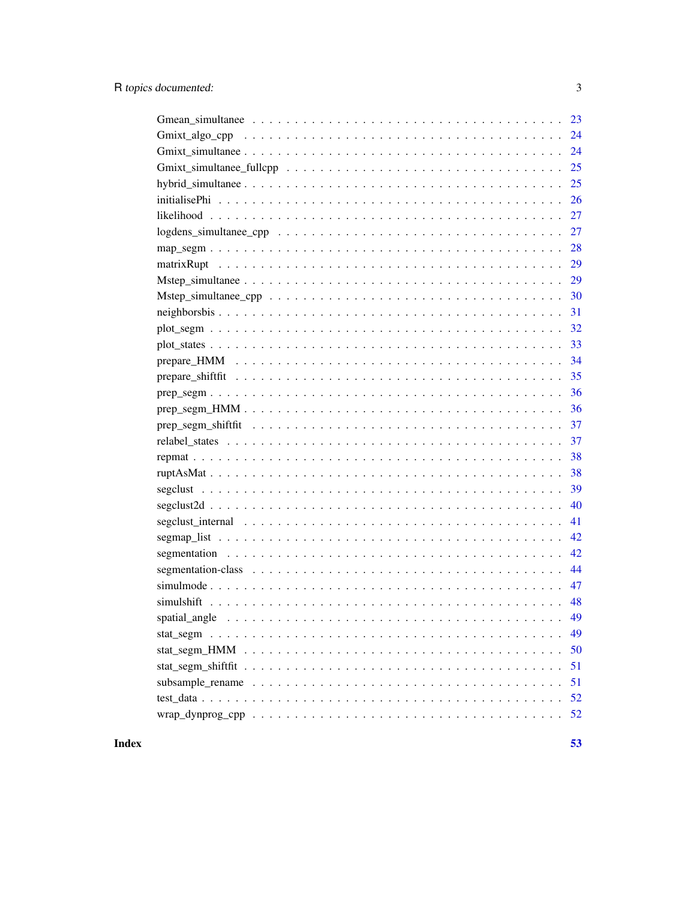| 24 |
|----|
|    |
| 25 |
| 26 |
| 27 |
|    |
| 28 |
| 29 |
| 29 |
| 30 |
| 31 |
| 32 |
| 33 |
| 34 |
| 35 |
| 36 |
| 36 |
| 37 |
| 37 |
| 38 |
| 38 |
| 39 |
| 40 |
| 41 |
| 42 |
| 42 |
| 44 |
| 47 |
| 48 |
| 49 |
| 49 |
| 50 |
| 51 |
| 51 |
| 52 |
| 52 |

# **Index**

 $\overline{3}$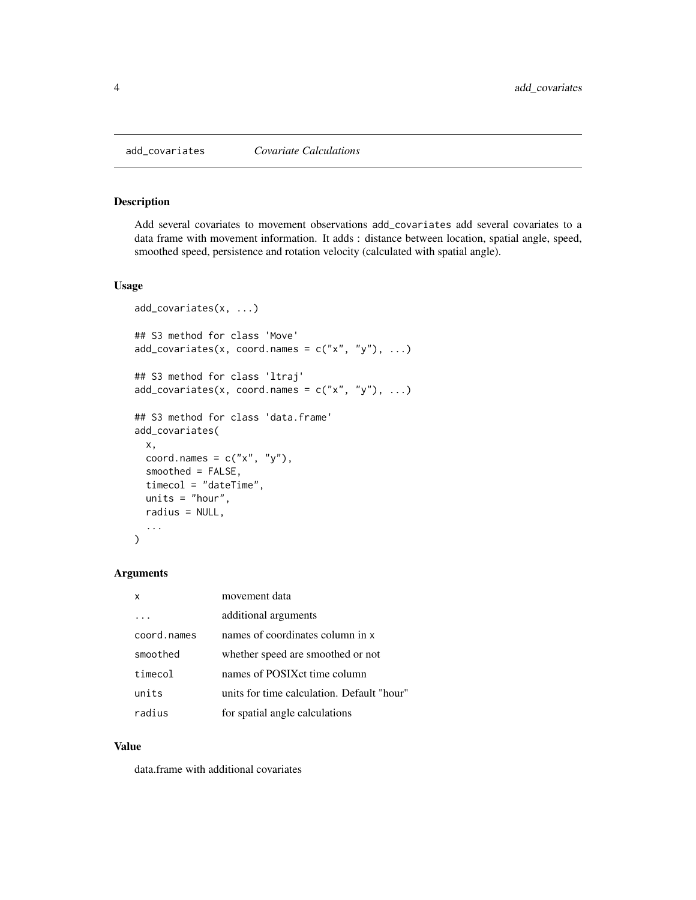<span id="page-3-0"></span>

Add several covariates to movement observations add\_covariates add several covariates to a data frame with movement information. It adds : distance between location, spatial angle, speed, smoothed speed, persistence and rotation velocity (calculated with spatial angle).

#### Usage

```
add_covariates(x, ...)
## S3 method for class 'Move'
add\_covariates(x, coord.names = c("x", "y"), ...)## S3 method for class 'ltraj'
add\_covariates(x, coord.names = c("x", "y"), ...)## S3 method for class 'data.frame'
add_covariates(
 x,
 coord.names = c("x", "y"),
  smoothed = FALSE,
  timecol = "dateTime",
  units = "hour",
  radius = NULL,
  ...
)
```
## Arguments

| x           | movement data                              |
|-------------|--------------------------------------------|
|             | additional arguments                       |
| coord.names | names of coordinates column in x           |
| smoothed    | whether speed are smoothed or not          |
| timecol     | names of POSIX ct time column              |
| units       | units for time calculation. Default "hour" |
| radius      | for spatial angle calculations             |

#### Value

data.frame with additional covariates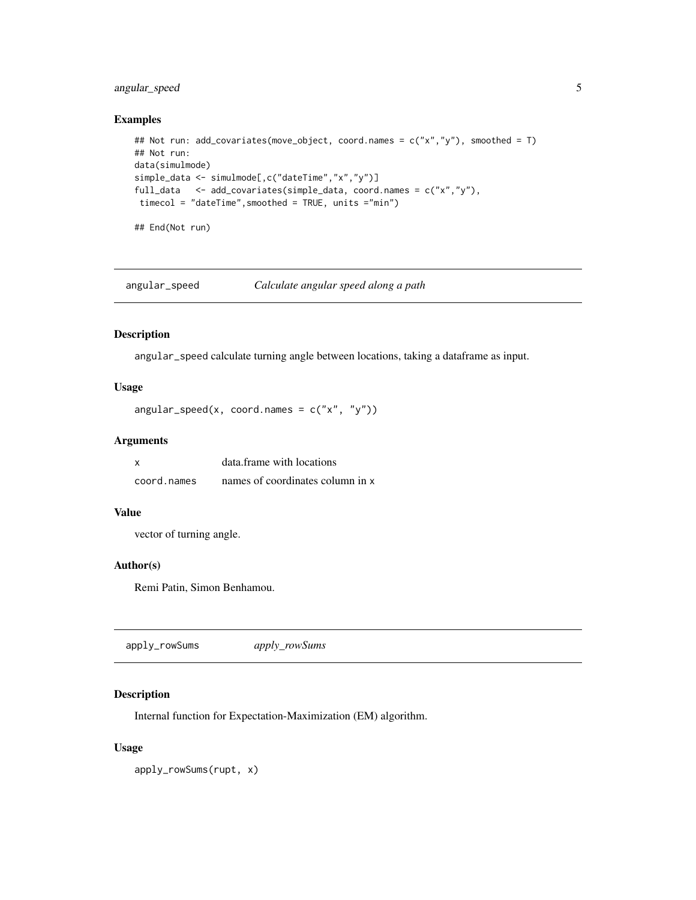# <span id="page-4-0"></span>angular\_speed 5

# Examples

```
## Not run: add_covariates(move_object, coord.names = c("x","y"), smoothed = T)
## Not run:
data(simulmode)
simple_data <- simulmode[,c("dateTime","x","y")]
full_data <- add_covariates(simple_data, coord.names = c("x","y"),
timecol = "dateTime",smoothed = TRUE, units ="min")
```
## End(Not run)

angular\_speed *Calculate angular speed along a path*

#### Description

angular\_speed calculate turning angle between locations, taking a dataframe as input.

# Usage

```
angular_speed(x, coord.names = c("x", "y"))
```
# Arguments

| $\boldsymbol{\mathsf{x}}$ | data frame with locations        |
|---------------------------|----------------------------------|
| coord.names               | names of coordinates column in x |

### Value

vector of turning angle.

### Author(s)

Remi Patin, Simon Benhamou.

apply\_rowSums *apply\_rowSums*

# Description

Internal function for Expectation-Maximization (EM) algorithm.

### Usage

apply\_rowSums(rupt, x)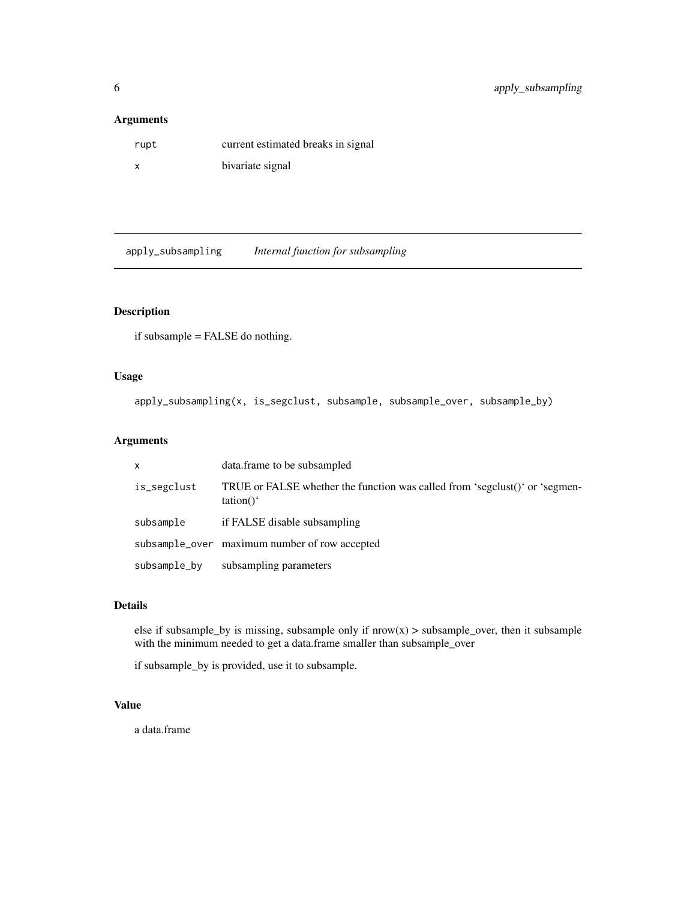### <span id="page-5-0"></span>Arguments

| rupt | current estimated breaks in signal |
|------|------------------------------------|
| x    | bivariate signal                   |

apply\_subsampling *Internal function for subsampling*

# Description

if subsample = FALSE do nothing.

# Usage

apply\_subsampling(x, is\_segclust, subsample, subsample\_over, subsample\_by)

# Arguments

| $\mathsf{x}$ | data.frame to be subsampled                                                                      |
|--------------|--------------------------------------------------------------------------------------------------|
| is_segclust  | TRUE or FALSE whether the function was called from 'segclust()' or 'segmen-<br>$\text{tation}()$ |
| subsample    | if FALSE disable subsampling                                                                     |
|              | subsample_over maximum number of row accepted                                                    |
| subsample_by | subsampling parameters                                                                           |

# Details

else if subsample\_by is missing, subsample only if  $now(x) > subsample_over$ , then it subsample with the minimum needed to get a data.frame smaller than subsample\_over

if subsample\_by is provided, use it to subsample.

# Value

a data.frame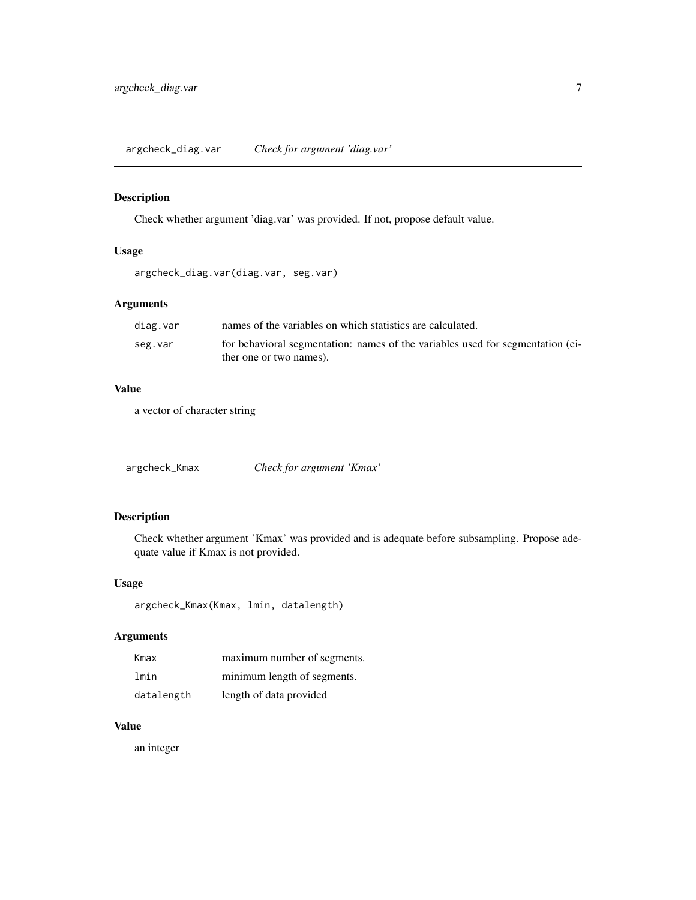<span id="page-6-0"></span>argcheck\_diag.var *Check for argument 'diag.var'*

# Description

Check whether argument 'diag.var' was provided. If not, propose default value.

# Usage

```
argcheck_diag.var(diag.var, seg.var)
```
# Arguments

| diag.var | names of the variables on which statistics are calculated.                     |
|----------|--------------------------------------------------------------------------------|
| seg.var  | for behavioral segmentation: names of the variables used for segmentation (ei- |
|          | ther one or two names).                                                        |

# Value

a vector of character string

argcheck\_Kmax *Check for argument 'Kmax'*

# Description

Check whether argument 'Kmax' was provided and is adequate before subsampling. Propose adequate value if Kmax is not provided.

# Usage

```
argcheck_Kmax(Kmax, lmin, datalength)
```
# Arguments

| Kmax       | maximum number of segments. |
|------------|-----------------------------|
| lmin       | minimum length of segments. |
| datalength | length of data provided     |

# Value

an integer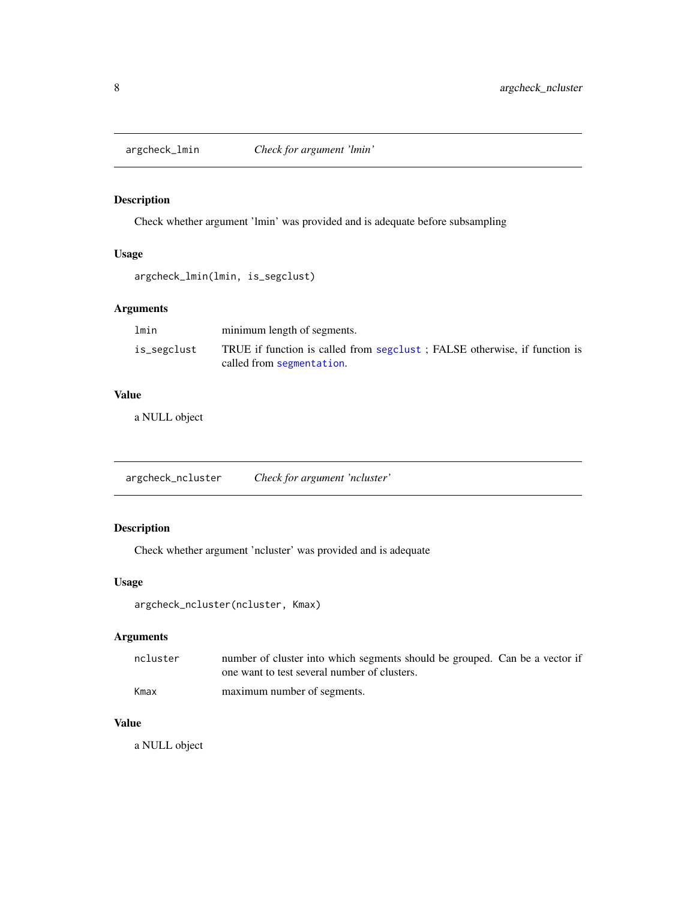<span id="page-7-0"></span>

Check whether argument 'lmin' was provided and is adequate before subsampling

# Usage

```
argcheck_lmin(lmin, is_segclust)
```
# Arguments

| lmin        | minimum length of segments.                                                |
|-------------|----------------------------------------------------------------------------|
| is_segclust | TRUE if function is called from seguence : FALSE otherwise, if function is |
|             | called from segmentation.                                                  |

# Value

a NULL object

argcheck\_ncluster *Check for argument 'ncluster'*

# Description

Check whether argument 'ncluster' was provided and is adequate

# Usage

```
argcheck_ncluster(ncluster, Kmax)
```
# Arguments

| ncluster | number of cluster into which segments should be grouped. Can be a vector if |  |
|----------|-----------------------------------------------------------------------------|--|
|          | one want to test several number of clusters.                                |  |
| Kmax     | maximum number of segments.                                                 |  |

### Value

a NULL object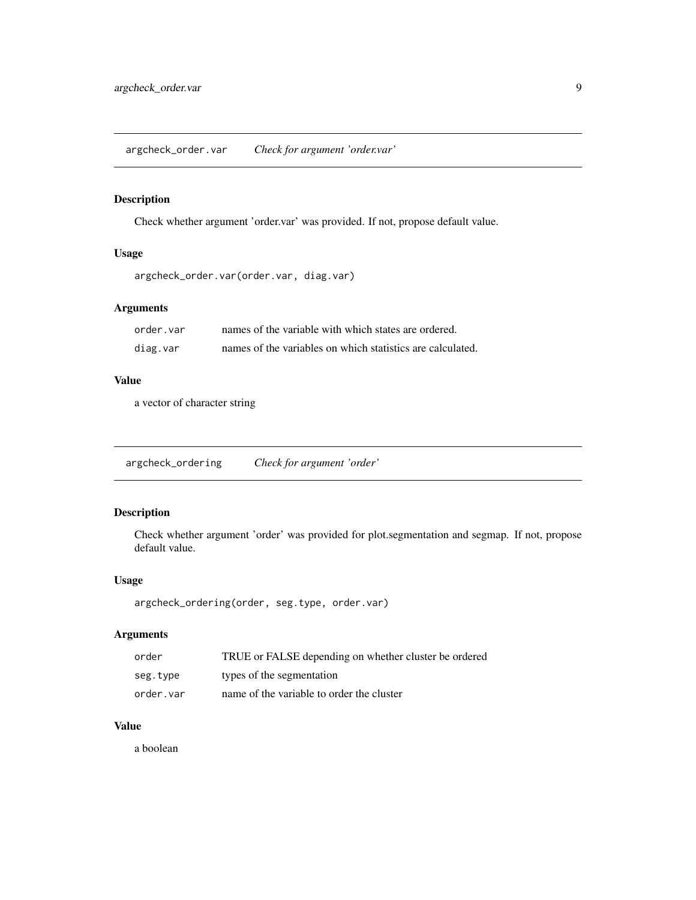<span id="page-8-0"></span>argcheck\_order.var *Check for argument 'order.var'*

# Description

Check whether argument 'order.var' was provided. If not, propose default value.

# Usage

```
argcheck_order.var(order.var, diag.var)
```
# Arguments

| order.var | names of the variable with which states are ordered.       |
|-----------|------------------------------------------------------------|
| diag.var  | names of the variables on which statistics are calculated. |

# Value

a vector of character string

argcheck\_ordering *Check for argument 'order'*

# Description

Check whether argument 'order' was provided for plot.segmentation and segmap. If not, propose default value.

# Usage

```
argcheck_ordering(order, seg.type, order.var)
```
# Arguments

| order     | TRUE or FALSE depending on whether cluster be ordered |
|-----------|-------------------------------------------------------|
| seg.type  | types of the segmentation                             |
| order.var | name of the variable to order the cluster             |

# Value

a boolean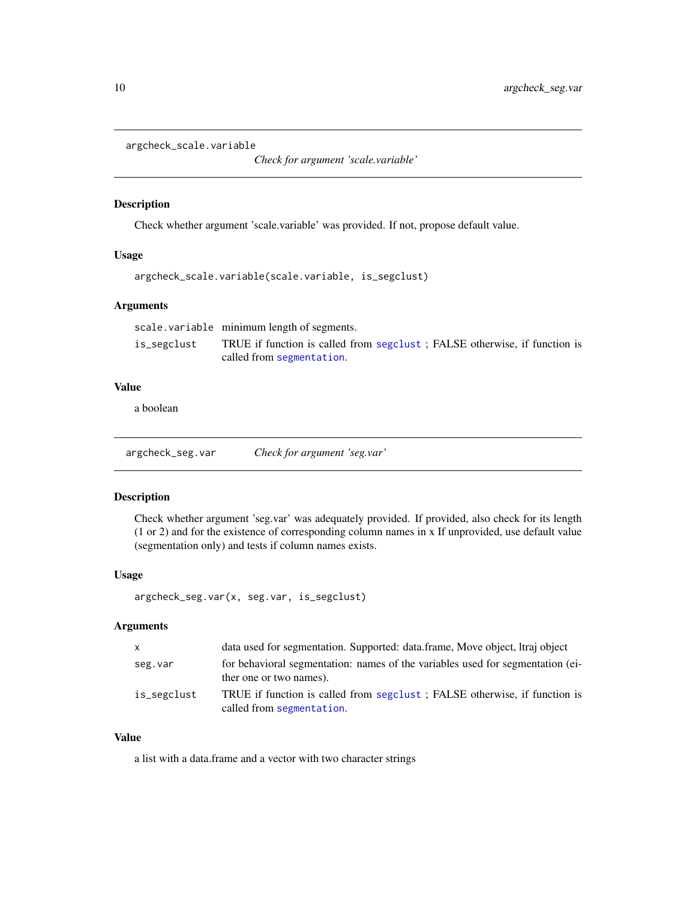<span id="page-9-0"></span>argcheck\_scale.variable

*Check for argument 'scale.variable'*

#### Description

Check whether argument 'scale.variable' was provided. If not, propose default value.

#### Usage

```
argcheck_scale.variable(scale.variable, is_segclust)
```
# Arguments

scale.variable minimum length of segments.

is\_segclust TRUE if function is called from [segclust](#page-38-1) ; FALSE otherwise, if function is called from [segmentation](#page-41-1).

# Value

a boolean

argcheck\_seg.var *Check for argument 'seg.var'*

### Description

Check whether argument 'seg.var' was adequately provided. If provided, also check for its length (1 or 2) and for the existence of corresponding column names in x If unprovided, use default value (segmentation only) and tests if column names exists.

### Usage

```
argcheck_seg.var(x, seg.var, is_segclust)
```
### **Arguments**

| $\mathsf{x}$ | data used for segmentation. Supported: data.frame, Move object, Itraj object                              |
|--------------|-----------------------------------------------------------------------------------------------------------|
| seg.var      | for behavioral segmentation: names of the variables used for segmentation (ei-<br>ther one or two names). |
| is_segclust  | TRUE if function is called from seguelast; FALSE otherwise, if function is<br>called from segmentation.   |

### Value

a list with a data.frame and a vector with two character strings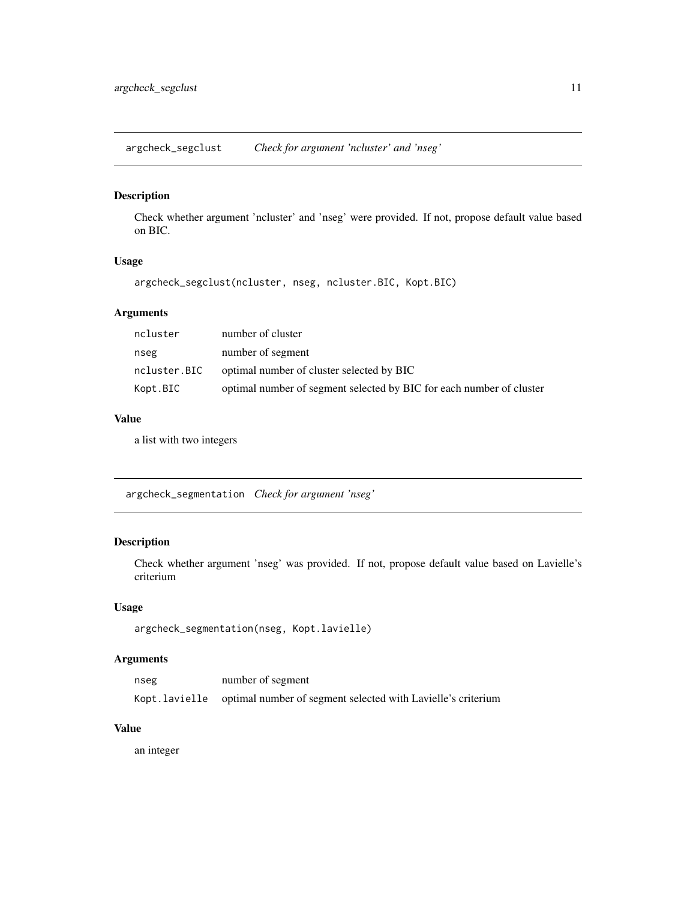<span id="page-10-0"></span>argcheck\_segclust *Check for argument 'ncluster' and 'nseg'*

# Description

Check whether argument 'ncluster' and 'nseg' were provided. If not, propose default value based on BIC.

# Usage

argcheck\_segclust(ncluster, nseg, ncluster.BIC, Kopt.BIC)

# Arguments

| ncluster     | number of cluster                                                    |
|--------------|----------------------------------------------------------------------|
| nseg         | number of segment                                                    |
| ncluster.BIC | optimal number of cluster selected by BIC                            |
| Kopt.BIC     | optimal number of segment selected by BIC for each number of cluster |

# Value

a list with two integers

argcheck\_segmentation *Check for argument 'nseg'*

# Description

Check whether argument 'nseg' was provided. If not, propose default value based on Lavielle's criterium

### Usage

```
argcheck_segmentation(nseg, Kopt.lavielle)
```
## Arguments

| nseg | number of segment                                                          |
|------|----------------------------------------------------------------------------|
|      | Kopt.lavielle optimal number of segment selected with Lavielle's criterium |

### Value

an integer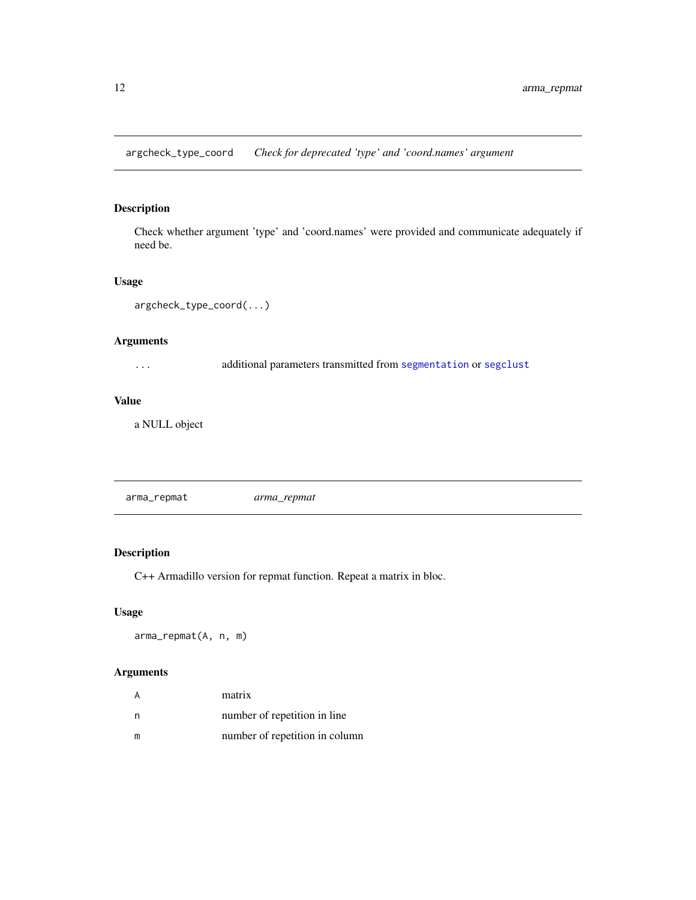<span id="page-11-0"></span>argcheck\_type\_coord *Check for deprecated 'type' and 'coord.names' argument*

# Description

Check whether argument 'type' and 'coord.names' were provided and communicate adequately if need be.

# Usage

argcheck\_type\_coord(...)

# Arguments

... additional parameters transmitted from [segmentation](#page-41-1) or [segclust](#page-38-1)

# Value

a NULL object

arma\_repmat *arma\_repmat*

# Description

C++ Armadillo version for repmat function. Repeat a matrix in bloc.

# Usage

arma\_repmat(A, n, m)

# Arguments

|   | matrix                         |
|---|--------------------------------|
| n | number of repetition in line.  |
| m | number of repetition in column |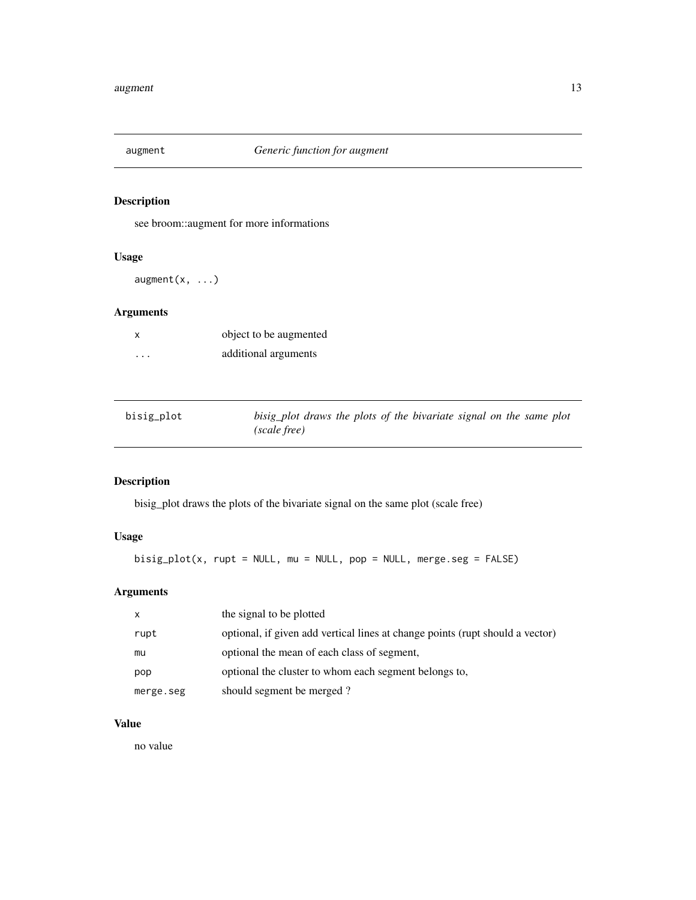<span id="page-12-0"></span>

see broom::augment for more informations

# Usage

augment(x, ...)

# Arguments

| x        | object to be augmented |
|----------|------------------------|
| $\cdots$ | additional arguments   |

| bisig_plot | bisig plot draws the plots of the bivariate signal on the same plot |
|------------|---------------------------------------------------------------------|
|            | (scale free)                                                        |

# Description

bisig\_plot draws the plots of the bivariate signal on the same plot (scale free)

# Usage

bisig\_plot(x, rupt = NULL, mu = NULL, pop = NULL, merge.seg = FALSE)

# Arguments

| $\mathsf{x}$ | the signal to be plotted                                                      |
|--------------|-------------------------------------------------------------------------------|
| rupt         | optional, if given add vertical lines at change points (rupt should a vector) |
| mu           | optional the mean of each class of segment,                                   |
| pop          | optional the cluster to whom each segment belongs to.                         |
| merge.seg    | should segment be merged?                                                     |

### Value

no value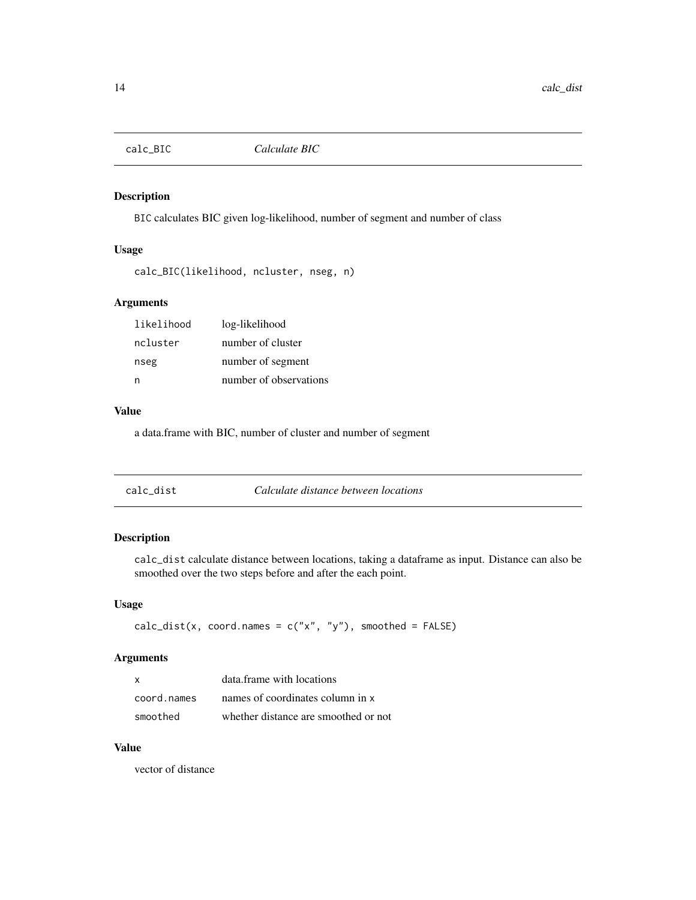<span id="page-13-0"></span>

BIC calculates BIC given log-likelihood, number of segment and number of class

# Usage

```
calc_BIC(likelihood, ncluster, nseg, n)
```
### Arguments

| likelihood | log-likelihood         |
|------------|------------------------|
| ncluster   | number of cluster      |
| nseg       | number of segment      |
| n          | number of observations |

### Value

a data.frame with BIC, number of cluster and number of segment

| calc dist | Calculate distance between locations |
|-----------|--------------------------------------|
|-----------|--------------------------------------|

# Description

calc\_dist calculate distance between locations, taking a dataframe as input. Distance can also be smoothed over the two steps before and after the each point.

### Usage

```
calc\_dist(x, coord.name = c("x", "y"), smoothed = FALSE)
```
# Arguments

| x           | data frame with locations            |
|-------------|--------------------------------------|
| coord.names | names of coordinates column in x     |
| smoothed    | whether distance are smoothed or not |

# Value

vector of distance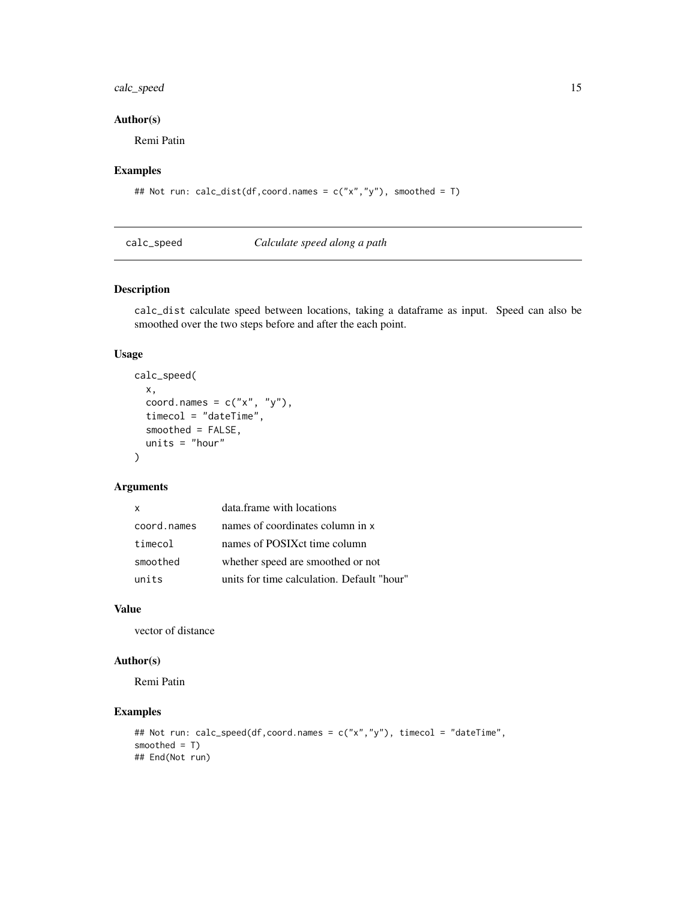# <span id="page-14-0"></span>calc\_speed 15

# Author(s)

Remi Patin

# Examples

```
## Not run: calc_dist(df,coord.names = c("x","y"), smoothed = T)
```
calc\_speed *Calculate speed along a path*

# Description

calc\_dist calculate speed between locations, taking a dataframe as input. Speed can also be smoothed over the two steps before and after the each point.

### Usage

```
calc_speed(
  x,
  coord.names = c("x", "y"),
  timecol = "dateTime",
  smoothed = FALSE,
  units = "hour"\mathcal{L}
```
# Arguments

| X           | data.frame with locations                  |
|-------------|--------------------------------------------|
| coord.names | names of coordinates column in x           |
| timecol     | names of POSIX ct time column              |
| smoothed    | whether speed are smoothed or not          |
| units       | units for time calculation. Default "hour" |

### Value

vector of distance

# Author(s)

Remi Patin

```
## Not run: calc_speed(df,coord.names = c("x","y"), timecol = "dateTime",
smoothed = T)
## End(Not run)
```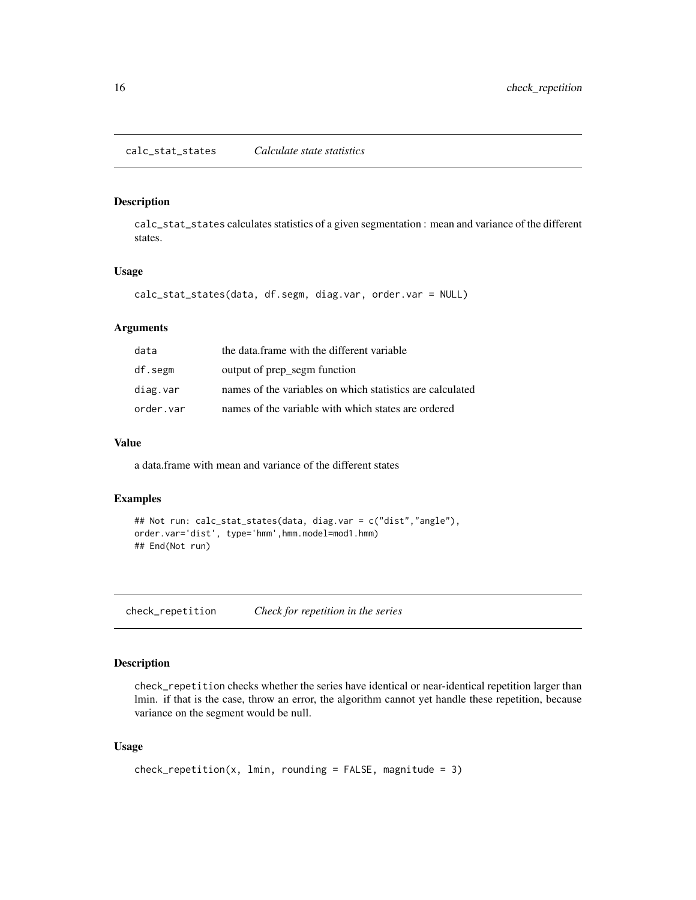<span id="page-15-0"></span>calc\_stat\_states calculates statistics of a given segmentation : mean and variance of the different states.

#### Usage

```
calc_stat_states(data, df.segm, diag.var, order.var = NULL)
```
# Arguments

| data      | the data frame with the different variable                |
|-----------|-----------------------------------------------------------|
| df.segm   | output of prep segm function                              |
| diag.var  | names of the variables on which statistics are calculated |
| order.var | names of the variable with which states are ordered       |

### Value

a data.frame with mean and variance of the different states

### Examples

```
## Not run: calc_stat_states(data, diag.var = c("dist","angle"),
order.var='dist', type='hmm',hmm.model=mod1.hmm)
## End(Not run)
```
check\_repetition *Check for repetition in the series*

# Description

check\_repetition checks whether the series have identical or near-identical repetition larger than lmin. if that is the case, throw an error, the algorithm cannot yet handle these repetition, because variance on the segment would be null.

### Usage

```
check_repetition(x, lmin, rounding = FALSE, magnitude = 3)
```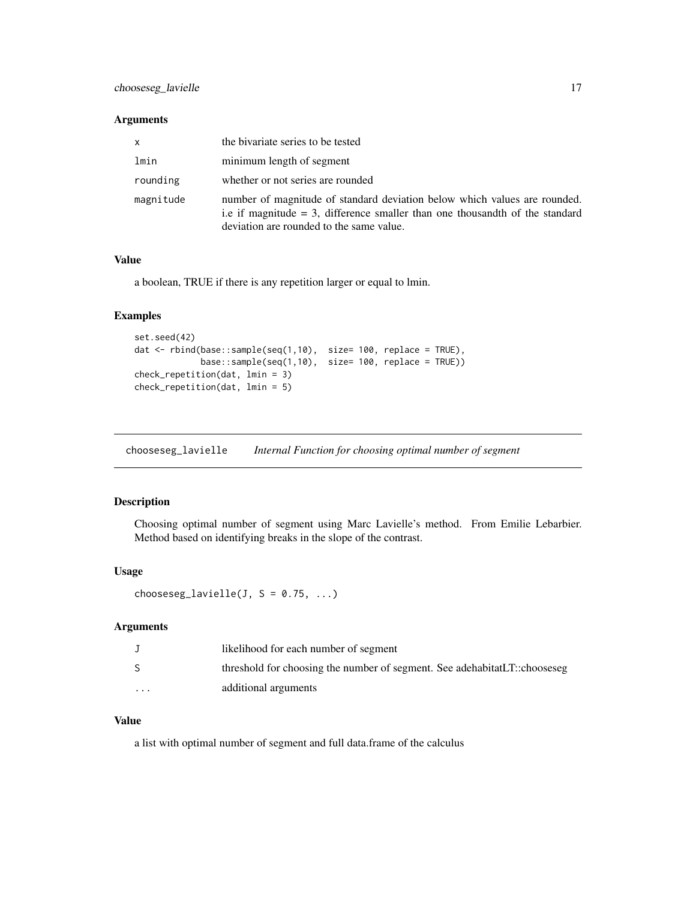### <span id="page-16-0"></span>Arguments

| $\mathsf{x}$ | the bivariate series to be tested                                                                                                                                                                        |  |
|--------------|----------------------------------------------------------------------------------------------------------------------------------------------------------------------------------------------------------|--|
| lmin         | minimum length of segment                                                                                                                                                                                |  |
| rounding     | whether or not series are rounded                                                                                                                                                                        |  |
| magnitude    | number of magnitude of standard deviation below which values are rounded.<br>i.e if magnitude $=$ 3, difference smaller than one thousand th of the standard<br>deviation are rounded to the same value. |  |

### Value

a boolean, TRUE if there is any repetition larger or equal to lmin.

# Examples

```
set.seed(42)
dat <- rbind(base::sample(seq(1,10), size= 100, replace = TRUE),
            base::sample(seq(1,10), size= 100, replace = TRUE))
check_repetition(dat, lmin = 3)
check_repetition(dat, lmin = 5)
```
<span id="page-16-1"></span>chooseseg\_lavielle *Internal Function for choosing optimal number of segment*

### Description

Choosing optimal number of segment using Marc Lavielle's method. From Emilie Lebarbier. Method based on identifying breaks in the slope of the contrast.

#### Usage

chooseseg\_lavielle(J,  $S = 0.75, ...$ )

#### Arguments

|          | likelihood for each number of segment                                     |
|----------|---------------------------------------------------------------------------|
| S        | threshold for choosing the number of segment. See adehabitatLT::chooseseg |
| $\cdots$ | additional arguments                                                      |

# Value

a list with optimal number of segment and full data.frame of the calculus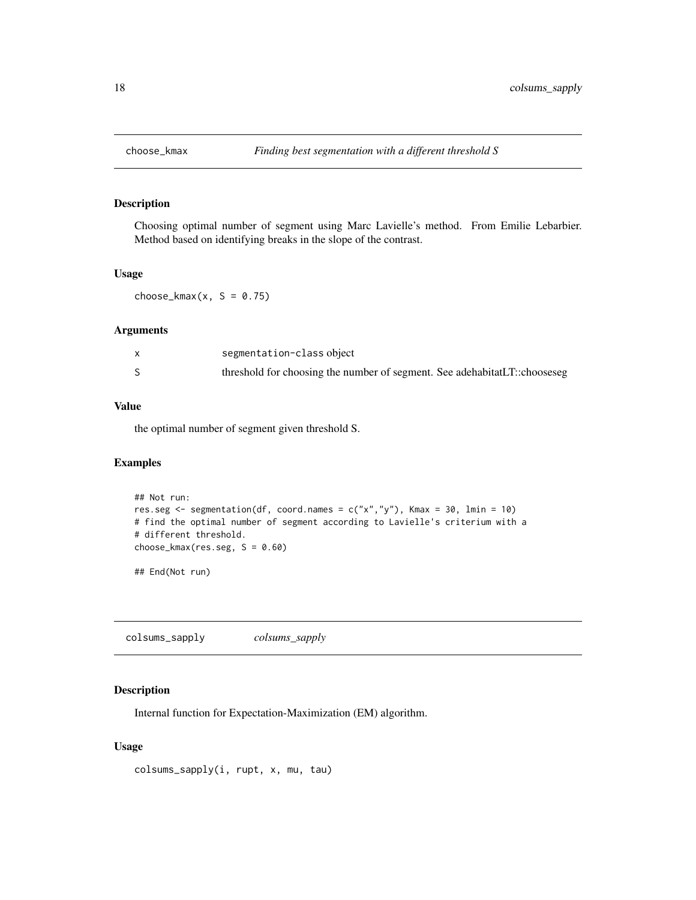<span id="page-17-0"></span>

Choosing optimal number of segment using Marc Lavielle's method. From Emilie Lebarbier. Method based on identifying breaks in the slope of the contrast.

### Usage

 $choose\_kmax(x, S = 0.75)$ 

### Arguments

| segmentation-class object                                                 |
|---------------------------------------------------------------------------|
| threshold for choosing the number of segment. See adehabitatLT::chooseseg |

# Value

the optimal number of segment given threshold S.

# Examples

```
## Not run:
res.seg \leq segmentation(df, coord.names = c("x","y"), Kmax = 30, lmin = 10)
# find the optimal number of segment according to Lavielle's criterium with a
# different threshold.
choose_kmax(res.seg, S = 0.60)## End(Not run)
```
colsums\_sapply *colsums\_sapply*

### Description

Internal function for Expectation-Maximization (EM) algorithm.

### Usage

colsums\_sapply(i, rupt, x, mu, tau)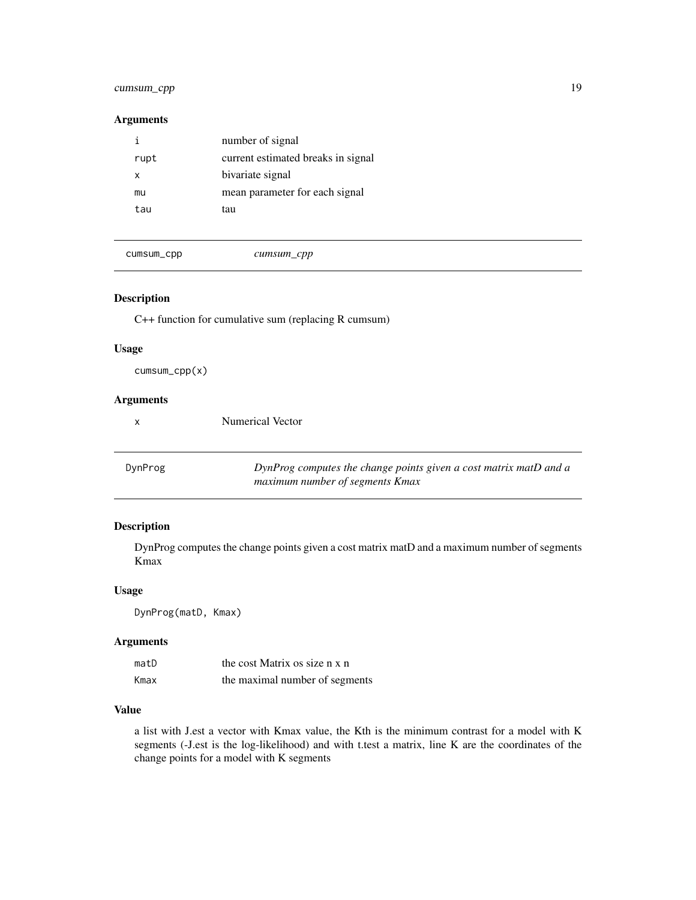# <span id="page-18-0"></span>cumsum\_cpp 19

### Arguments

| current estimated breaks in signal<br>rupt<br>bivariate signal<br>x<br>mean parameter for each signal<br>mu<br>tau<br>tau |  | number of signal |
|---------------------------------------------------------------------------------------------------------------------------|--|------------------|
|                                                                                                                           |  |                  |
|                                                                                                                           |  |                  |
|                                                                                                                           |  |                  |
|                                                                                                                           |  |                  |

cumsum\_cpp *cumsum\_cpp*

### Description

C++ function for cumulative sum (replacing R cumsum)

Numerical Vector

### Usage

cumsum\_cpp(x)

# Arguments

<span id="page-18-1"></span>DynProg *DynProg computes the change points given a cost matrix matD and a maximum number of segments Kmax*

# Description

DynProg computes the change points given a cost matrix matD and a maximum number of segments Kmax

### Usage

DynProg(matD, Kmax)

#### Arguments

| matD | the cost Matrix os size n x n  |
|------|--------------------------------|
| Kmax | the maximal number of segments |

# Value

a list with J.est a vector with Kmax value, the Kth is the minimum contrast for a model with K segments (-J.est is the log-likelihood) and with t.test a matrix, line K are the coordinates of the change points for a model with K segments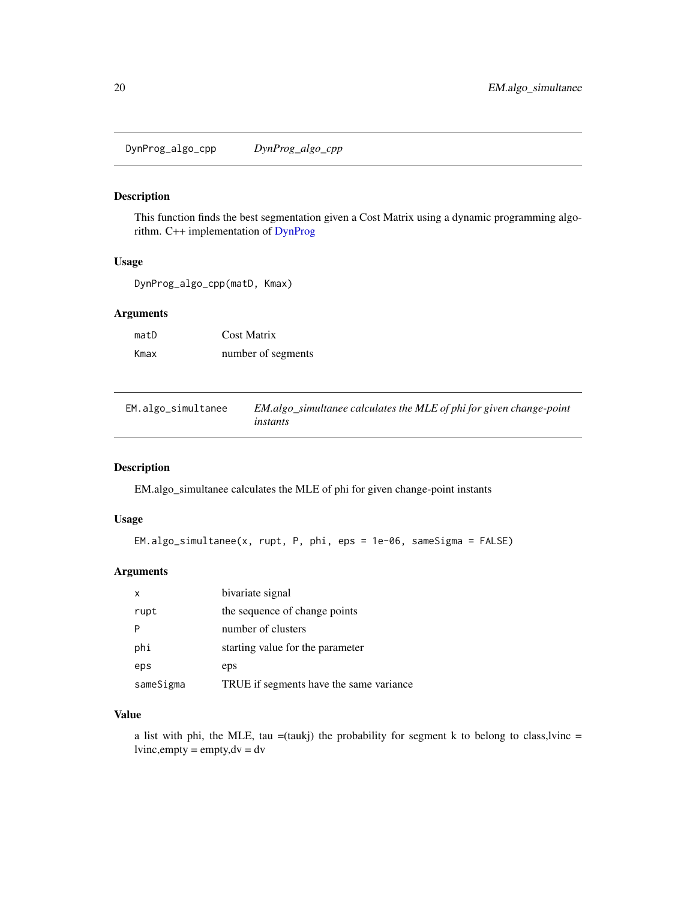<span id="page-19-0"></span>DynProg\_algo\_cpp *DynProg\_algo\_cpp*

### Description

This function finds the best segmentation given a Cost Matrix using a dynamic programming algorithm. C++ implementation of [DynProg](#page-18-1)

# Usage

DynProg\_algo\_cpp(matD, Kmax)

# Arguments

| matD | Cost Matrix        |
|------|--------------------|
| Kmax | number of segments |

EM.algo\_simultanee *EM.algo\_simultanee calculates the MLE of phi for given change-point instants*

### Description

EM.algo\_simultanee calculates the MLE of phi for given change-point instants

### Usage

```
EM.algo_simultanee(x, rupt, P, phi, eps = 1e-06, sameSigma = FALSE)
```
# Arguments

| x         | bivariate signal                        |
|-----------|-----------------------------------------|
| rupt      | the sequence of change points           |
|           | number of clusters                      |
| phi       | starting value for the parameter        |
| eps       | eps                                     |
| sameSigma | TRUE if segments have the same variance |

### Value

a list with phi, the MLE, tau =(taukj) the probability for segment k to belong to class,lvinc =  $lvinc, empty = empty, dv = dv$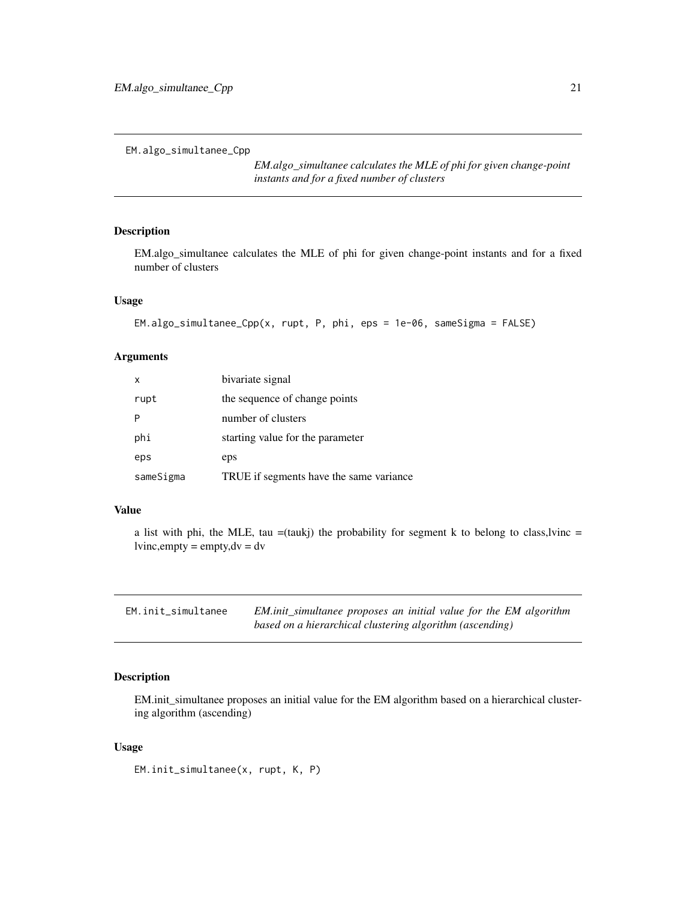<span id="page-20-0"></span>EM.algo\_simultanee\_Cpp

*EM.algo\_simultanee calculates the MLE of phi for given change-point instants and for a fixed number of clusters*

# Description

EM.algo\_simultanee calculates the MLE of phi for given change-point instants and for a fixed number of clusters

## Usage

```
EM.algo_simultanee_Cpp(x, rupt, P, phi, eps = 1e-06, sameSigma = FALSE)
```
# Arguments

| x         | bivariate signal                        |
|-----------|-----------------------------------------|
| rupt      | the sequence of change points           |
|           | number of clusters                      |
| phi       | starting value for the parameter        |
| eps       | eps                                     |
| sameSigma | TRUE if segments have the same variance |

### Value

a list with phi, the MLE, tau  $=$ (taukj) the probability for segment k to belong to class, lyinc  $=$  $lvinc, empty = empty, dv = dv$ 

| EM.init_simultanee | EM.init_simultanee proposes an initial value for the EM algorithm |
|--------------------|-------------------------------------------------------------------|
|                    | based on a hierarchical clustering algorithm (ascending)          |

# Description

EM.init\_simultanee proposes an initial value for the EM algorithm based on a hierarchical clustering algorithm (ascending)

### Usage

EM.init\_simultanee(x, rupt, K, P)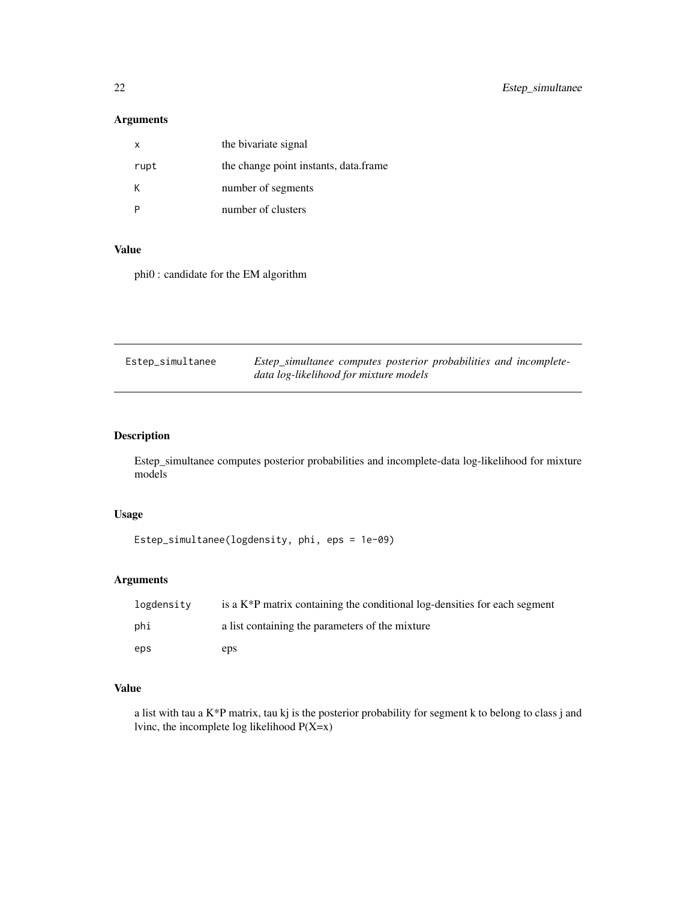# <span id="page-21-0"></span>Arguments

| x    | the bivariate signal                  |
|------|---------------------------------------|
| rupt | the change point instants, data.frame |
| κ    | number of segments                    |
|      | number of clusters                    |

### Value

phi0 : candidate for the EM algorithm

| Estep_simultanee | Estep_simultanee computes posterior probabilities and incomplete- |
|------------------|-------------------------------------------------------------------|
|                  | data log-likelihood for mixture models                            |

# Description

Estep\_simultanee computes posterior probabilities and incomplete-data log-likelihood for mixture models

# Usage

```
Estep_simultanee(logdensity, phi, eps = 1e-09)
```
# Arguments

| logdensity | is a $K^*P$ matrix containing the conditional log-densities for each segment |
|------------|------------------------------------------------------------------------------|
| phi        | a list containing the parameters of the mixture                              |
| eps        | eps                                                                          |

# Value

a list with tau a K\*P matrix, tau kj is the posterior probability for segment k to belong to class j and lvinc, the incomplete log likelihood P(X=x)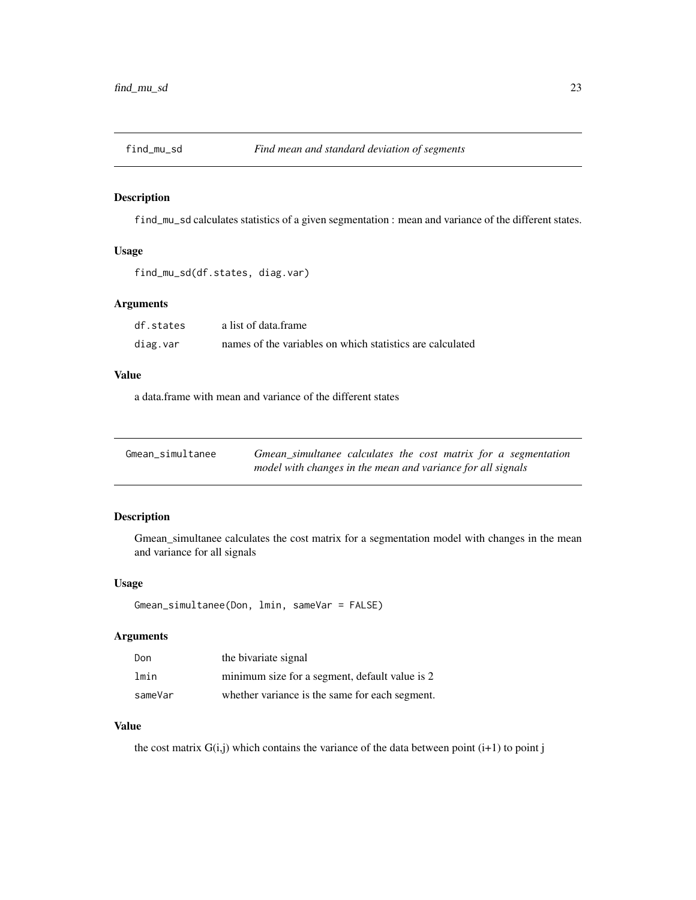<span id="page-22-0"></span>

find\_mu\_sd calculates statistics of a given segmentation : mean and variance of the different states.

## Usage

```
find_mu_sd(df.states, diag.var)
```
# Arguments

| df.states | a list of data frame                                      |
|-----------|-----------------------------------------------------------|
| diag.var  | names of the variables on which statistics are calculated |

### Value

a data.frame with mean and variance of the different states

| Gmean simultanee | Gmean_simultanee calculates the cost matrix for a segmentation |
|------------------|----------------------------------------------------------------|
|                  | model with changes in the mean and variance for all signals    |

# Description

Gmean\_simultanee calculates the cost matrix for a segmentation model with changes in the mean and variance for all signals

### Usage

```
Gmean_simultanee(Don, lmin, sameVar = FALSE)
```
# Arguments

| Don     | the bivariate signal                           |
|---------|------------------------------------------------|
| lmin    | minimum size for a segment, default value is 2 |
| sameVar | whether variance is the same for each segment. |

### Value

the cost matrix  $G(i,j)$  which contains the variance of the data between point  $(i+1)$  to point j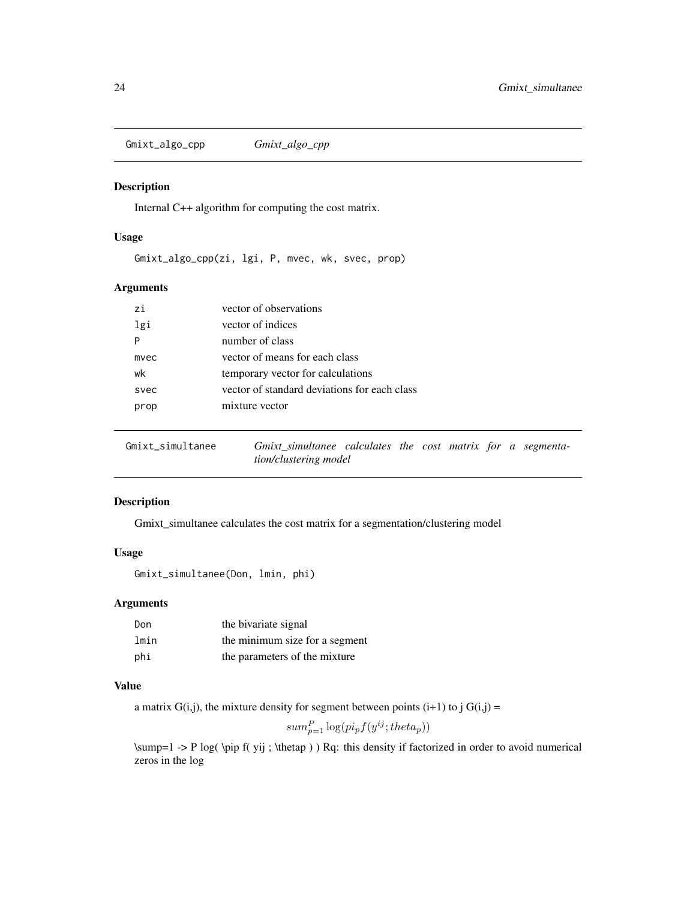<span id="page-23-0"></span>Gmixt\_algo\_cpp *Gmixt\_algo\_cpp*

### Description

Internal C++ algorithm for computing the cost matrix.

# Usage

Gmixt\_algo\_cpp(zi, lgi, P, mvec, wk, svec, prop)

# Arguments

| zi   | vector of observations                       |
|------|----------------------------------------------|
| lgi  | vector of indices                            |
| P    | number of class                              |
| mvec | vector of means for each class               |
| wk   | temporary vector for calculations            |
| svec | vector of standard deviations for each class |
| prop | mixture vector                               |
|      |                                              |

<span id="page-23-1"></span>

| Gmixt simultanee | Gmixt simultanee calculates the cost matrix for a segmenta- |  |  |  |  |
|------------------|-------------------------------------------------------------|--|--|--|--|
|                  | tion/clustering model                                       |  |  |  |  |

### Description

Gmixt\_simultanee calculates the cost matrix for a segmentation/clustering model

# Usage

Gmixt\_simultanee(Don, lmin, phi)

# Arguments

| Don  | the bivariate signal           |
|------|--------------------------------|
| lmin | the minimum size for a segment |
| phi  | the parameters of the mixture  |

### Value

a matrix  $G(i,j)$ , the mixture density for segment between points  $(i+1)$  to j  $G(i,j)$  =

$$
sum_{p=1}^{P} \log(p i_p f(y^{ij}; theta_p))
$$

\sump=1 -> P log( \pip f( yij ; \thetap ) ) Rq: this density if factorized in order to avoid numerical zeros in the log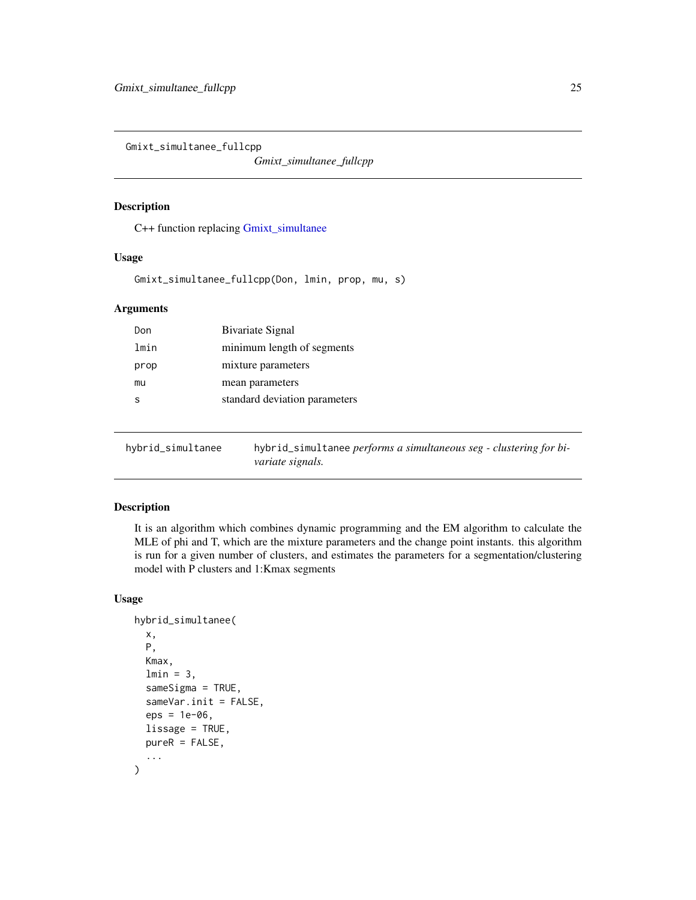<span id="page-24-0"></span>Gmixt\_simultanee\_fullcpp

*Gmixt\_simultanee\_fullcpp*

# Description

C++ function replacing [Gmixt\\_simultanee](#page-23-1)

#### Usage

Gmixt\_simultanee\_fullcpp(Don, lmin, prop, mu, s)

### Arguments

| Don  | Bivariate Signal              |
|------|-------------------------------|
| lmin | minimum length of segments    |
| prop | mixture parameters            |
| mu   | mean parameters               |
| ς    | standard deviation parameters |
|      |                               |

hybrid\_simultanee hybrid\_simultanee *performs a simultaneous seg - clustering for bivariate signals.*

# Description

It is an algorithm which combines dynamic programming and the EM algorithm to calculate the MLE of phi and T, which are the mixture parameters and the change point instants. this algorithm is run for a given number of clusters, and estimates the parameters for a segmentation/clustering model with P clusters and 1:Kmax segments

### Usage

```
hybrid_simultanee(
  x,
  P,
  Kmax,
  lmin = 3,sameSigma = TRUE,
  sameVar.init = FALSE,
  eps = 1e-06,
  lissage = TRUE,
  pureR = FALSE,
  ...
\mathcal{E}
```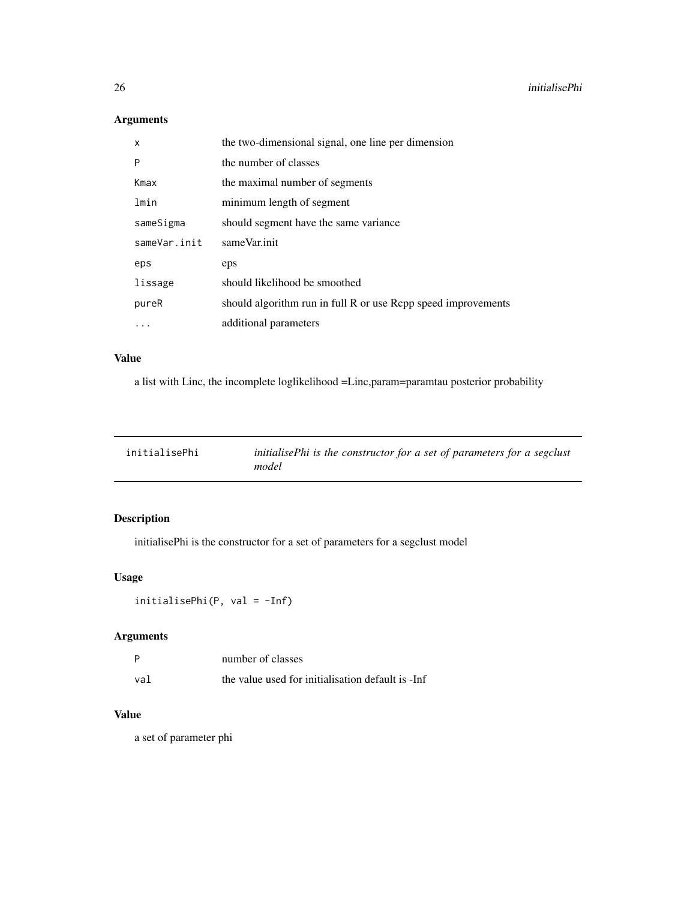# Arguments

| x            | the two-dimensional signal, one line per dimension            |
|--------------|---------------------------------------------------------------|
| P            | the number of classes                                         |
| Kmax         | the maximal number of segments                                |
| lmin         | minimum length of segment                                     |
| sameSigma    | should segment have the same variance                         |
| sameVar.init | sameVar.init                                                  |
| eps          | eps                                                           |
| lissage      | should likelihood be smoothed                                 |
| pureR        | should algorithm run in full R or use Rcpp speed improvements |
| $\cdots$     | additional parameters                                         |

# Value

a list with Linc, the incomplete loglikelihood =Linc,param=paramtau posterior probability

| initialisePhi | initialisePhi is the constructor for a set of parameters for a segclust |
|---------------|-------------------------------------------------------------------------|
|               | model                                                                   |

# Description

initialisePhi is the constructor for a set of parameters for a segclust model

# Usage

```
initialisePhi(P, val = -Inf)
```
# Arguments

|     | number of classes                                 |
|-----|---------------------------------------------------|
| val | the value used for initialisation default is -Inf |

# Value

a set of parameter phi

<span id="page-25-0"></span>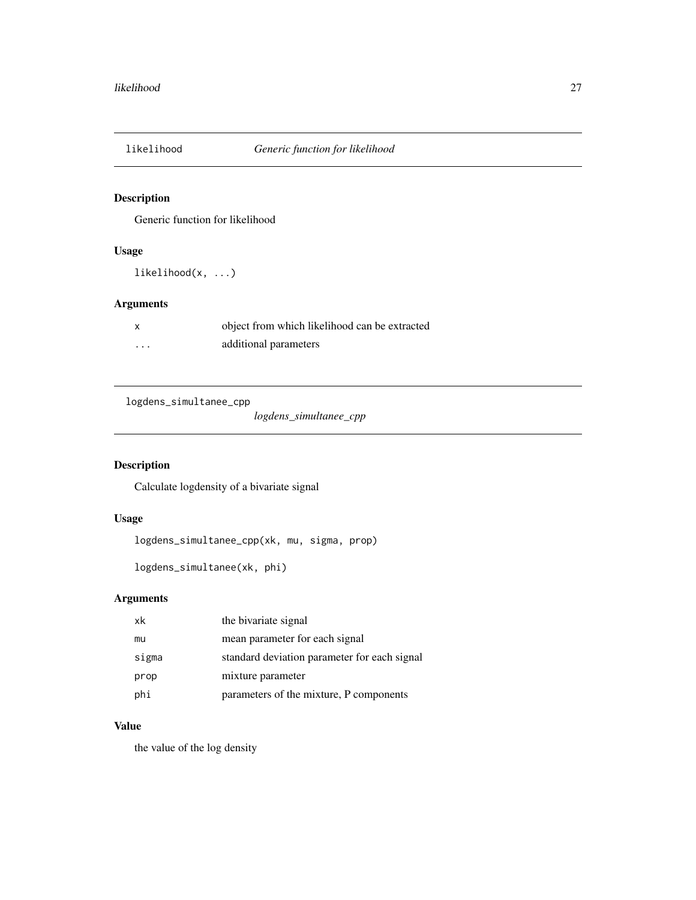<span id="page-26-0"></span>

Generic function for likelihood

# Usage

likelihood(x, ...)

# Arguments

object from which likelihood can be extracted ... additional parameters

logdens\_simultanee\_cpp

*logdens\_simultanee\_cpp*

# Description

Calculate logdensity of a bivariate signal

# Usage

logdens\_simultanee\_cpp(xk, mu, sigma, prop)

```
logdens_simultanee(xk, phi)
```
# Arguments

| xk    | the bivariate signal                         |
|-------|----------------------------------------------|
| mu    | mean parameter for each signal               |
| sigma | standard deviation parameter for each signal |
| prop  | mixture parameter                            |
| phi   | parameters of the mixture, P components      |

# Value

the value of the log density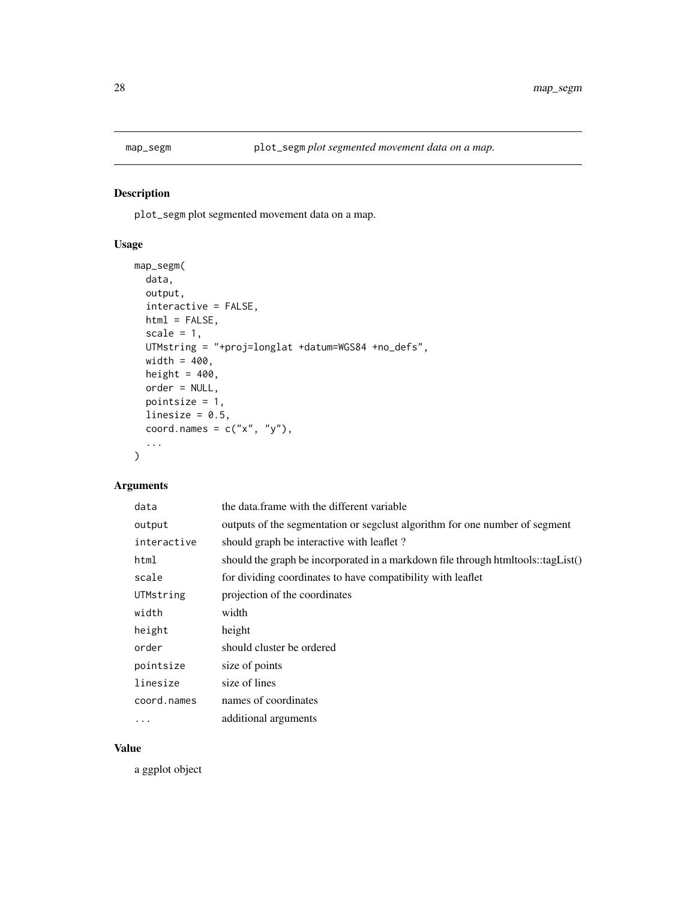<span id="page-27-0"></span>

plot\_segm plot segmented movement data on a map.

# Usage

```
map_segm(
 data,
 output,
 interactive = FALSE,
 html = FALSE,scale = 1,
 UTMstring = "+proj=longlat +datum=WGS84 +no_defs",
 width = 400,
 height = 400,
 order = NULL,
 pointsize = 1,
 linesize = 0.5,
 coord.names = c("x", "y"),
  ...
)
```
### Arguments

| data        | the data frame with the different variable                                       |
|-------------|----------------------------------------------------------------------------------|
| output      | outputs of the segmentation or segclust algorithm for one number of segment      |
| interactive | should graph be interactive with leaflet?                                        |
| html        | should the graph be incorporated in a markdown file through htmltools::tagList() |
| scale       | for dividing coordinates to have compatibility with leaflet                      |
| UTMstring   | projection of the coordinates                                                    |
| width       | width                                                                            |
| height      | height                                                                           |
| order       | should cluster be ordered                                                        |
| pointsize   | size of points                                                                   |
| linesize    | size of lines                                                                    |
| coord.names | names of coordinates                                                             |
| .           | additional arguments                                                             |

### Value

a ggplot object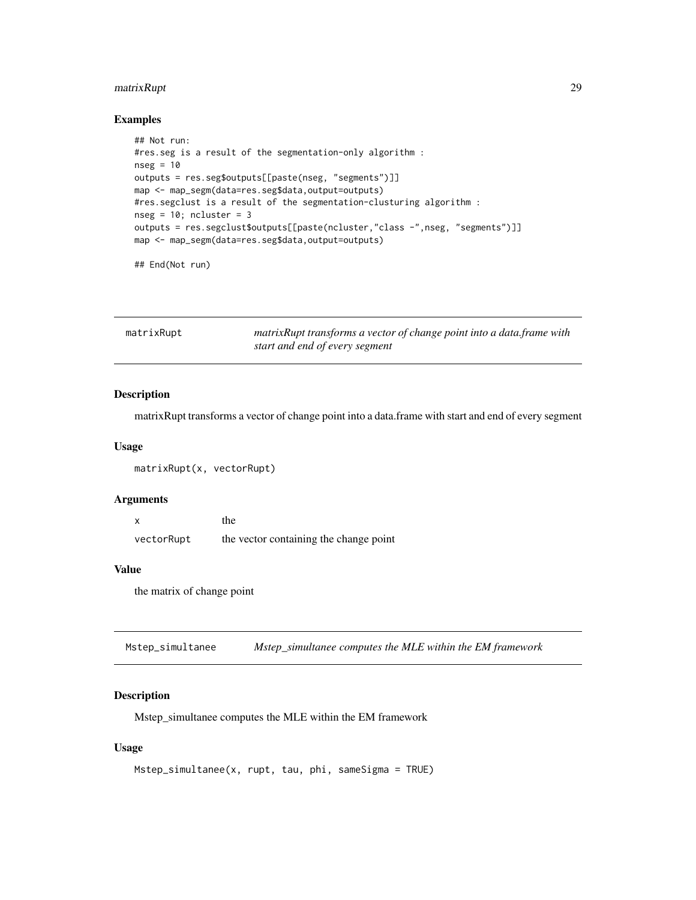# <span id="page-28-0"></span>matrixRupt 29

# Examples

```
## Not run:
#res.seg is a result of the segmentation-only algorithm :
nseg = 10outputs = res.seg$outputs[[paste(nseg, "segments")]]
map <- map_segm(data=res.seg$data,output=outputs)
#res.segclust is a result of the segmentation-clusturing algorithm :
nseg = 10; ncluster = 3outputs = res.segclust$outputs[[paste(ncluster,"class -",nseg, "segments")]]
map <- map_segm(data=res.seg$data,output=outputs)
```
## End(Not run)

| matrixRupt | matrixRupt transforms a vector of change point into a data.frame with |
|------------|-----------------------------------------------------------------------|
|            | start and end of every segment                                        |

# Description

matrixRupt transforms a vector of change point into a data.frame with start and end of every segment

#### Usage

```
matrixRupt(x, vectorRupt)
```
### Arguments

|            | the                                    |
|------------|----------------------------------------|
| vectorRupt | the vector containing the change point |

#### Value

the matrix of change point

Mstep\_simultanee *Mstep\_simultanee computes the MLE within the EM framework*

### Description

Mstep\_simultanee computes the MLE within the EM framework

### Usage

```
Mstep_simultanee(x, rupt, tau, phi, sameSigma = TRUE)
```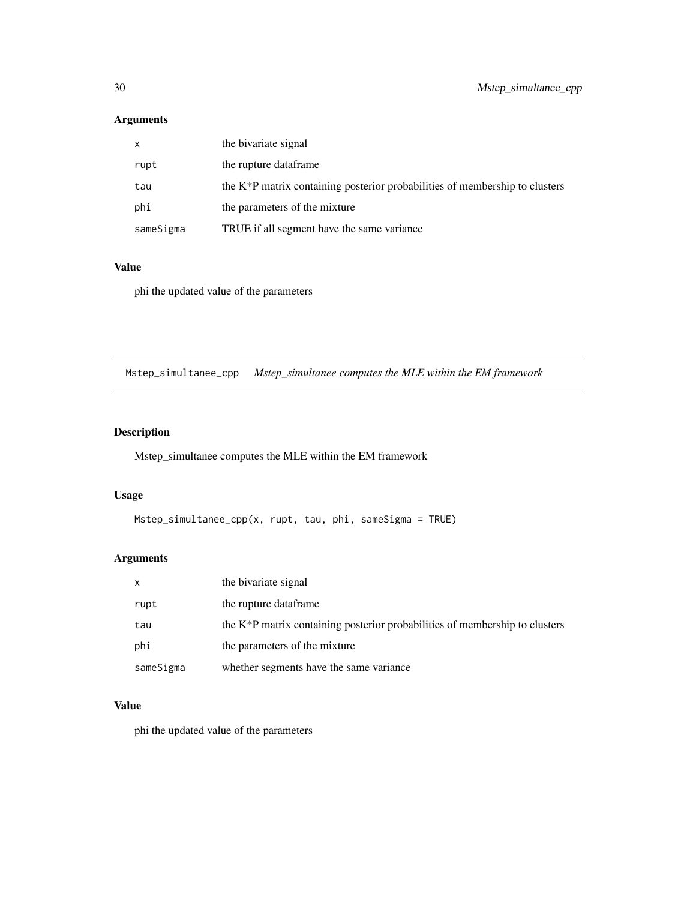# <span id="page-29-0"></span>Arguments

| $\mathsf{x}$ | the bivariate signal                                                                     |
|--------------|------------------------------------------------------------------------------------------|
| rupt         | the rupture dataframe                                                                    |
| tau          | the K <sup>*</sup> P matrix containing posterior probabilities of membership to clusters |
| phi          | the parameters of the mixture                                                            |
| sameSigma    | TRUE if all segment have the same variance                                               |

# Value

phi the updated value of the parameters

Mstep\_simultanee\_cpp *Mstep\_simultanee computes the MLE within the EM framework*

# Description

Mstep\_simultanee computes the MLE within the EM framework

# Usage

```
Mstep_simultanee_cpp(x, rupt, tau, phi, sameSigma = TRUE)
```
# Arguments

| x         | the bivariate signal                                                           |
|-----------|--------------------------------------------------------------------------------|
| rupt      | the rupture dataframe                                                          |
| tau       | the $K^*P$ matrix containing posterior probabilities of membership to clusters |
| phi       | the parameters of the mixture                                                  |
| sameSigma | whether segments have the same variance                                        |

# Value

phi the updated value of the parameters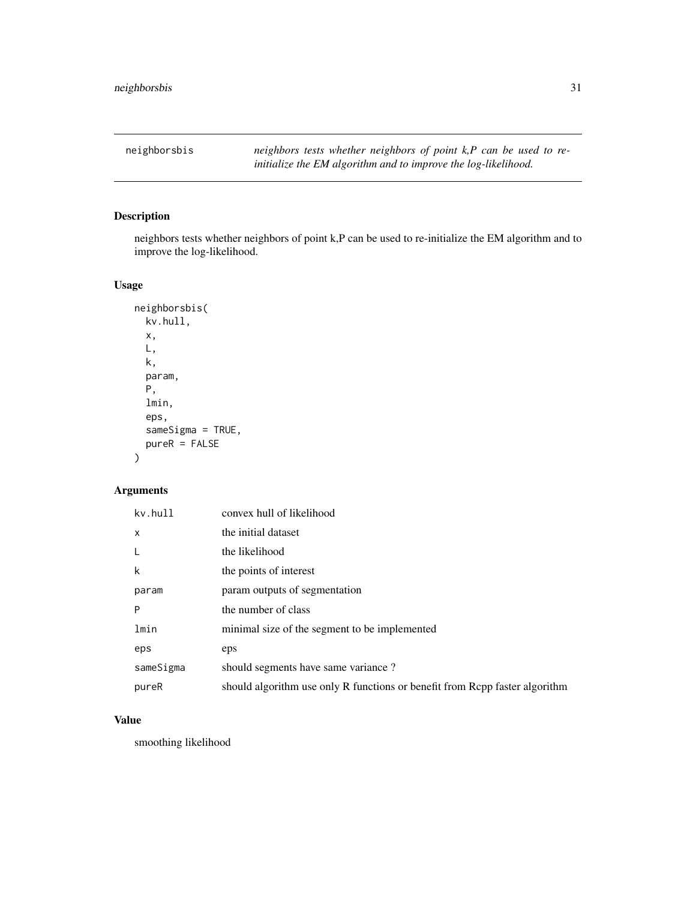<span id="page-30-0"></span>neighborsbis *neighbors tests whether neighbors of point k,P can be used to reinitialize the EM algorithm and to improve the log-likelihood.*

# Description

neighbors tests whether neighbors of point k,P can be used to re-initialize the EM algorithm and to improve the log-likelihood.

# Usage

```
neighborsbis(
 kv.hull,
  x,
 L,
 k,
  param,
 P,
  lmin,
  eps,
  sameSigma = TRUE,
 pureR = FALSE
)
```
# Arguments

| kv.hull   | convex hull of likelihood                                                   |
|-----------|-----------------------------------------------------------------------------|
| X         | the initial dataset                                                         |
| L         | the likelihood                                                              |
| k         | the points of interest                                                      |
| param     | param outputs of segmentation                                               |
| P         | the number of class                                                         |
| lmin      | minimal size of the segment to be implemented                               |
| eps       | eps                                                                         |
| sameSigma | should segments have same variance?                                         |
| pureR     | should algorithm use only R functions or benefit from Rcpp faster algorithm |

# Value

smoothing likelihood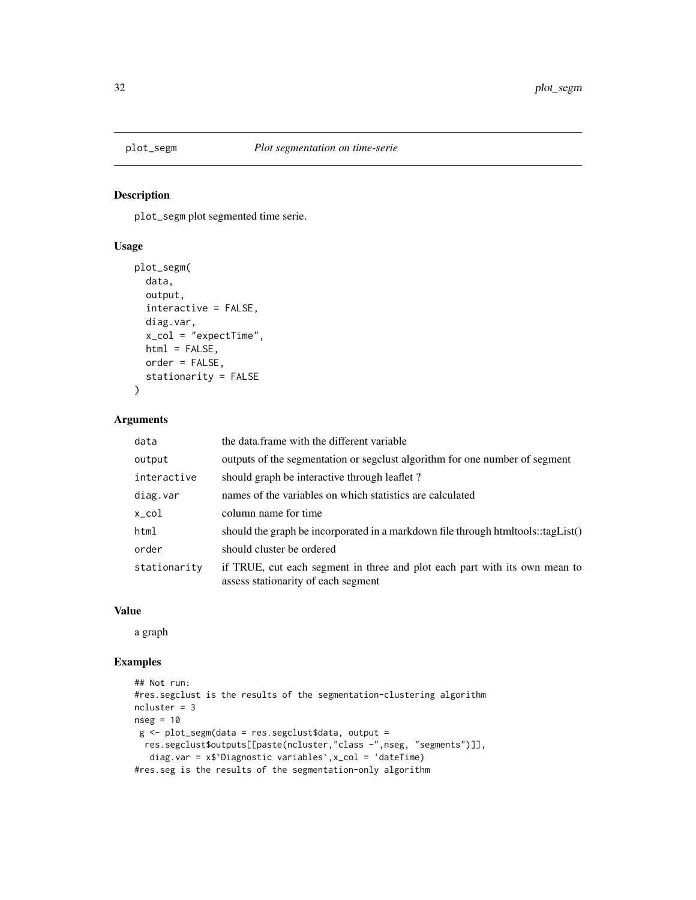<span id="page-31-1"></span><span id="page-31-0"></span>

plot\_segm plot segmented time serie.

#### Usage

```
plot_segm(
  data,
  output,
  interactive = FALSE,
 diag.var,
 x_{col} = "expectTime",html = FALSE,
 order = FALSE,
  stationarity = FALSE
)
```
# Arguments

| data         | the data frame with the different variable                                                                        |
|--------------|-------------------------------------------------------------------------------------------------------------------|
| output       | outputs of the segmentation or segclust algorithm for one number of segment                                       |
| interactive  | should graph be interactive through leaflet?                                                                      |
| diag.var     | names of the variables on which statistics are calculated                                                         |
| x_col        | column name for time                                                                                              |
| html         | should the graph be incorporated in a markdown file through htmltools::tagList()                                  |
| order        | should cluster be ordered                                                                                         |
| stationarity | if TRUE, cut each segment in three and plot each part with its own mean to<br>assess stationarity of each segment |

### Value

a graph

```
## Not run:
#res.segclust is the results of the segmentation-clustering algorithm
ncluster = 3
nseg = 10g <- plot_segm(data = res.segclust$data, output =
 res.segclust$outputs[[paste(ncluster,"class -",nseg, "segments")]],
  diag.var = x$`Diagnostic variables`,x_col = 'dateTime)
#res.seg is the results of the segmentation-only algorithm
```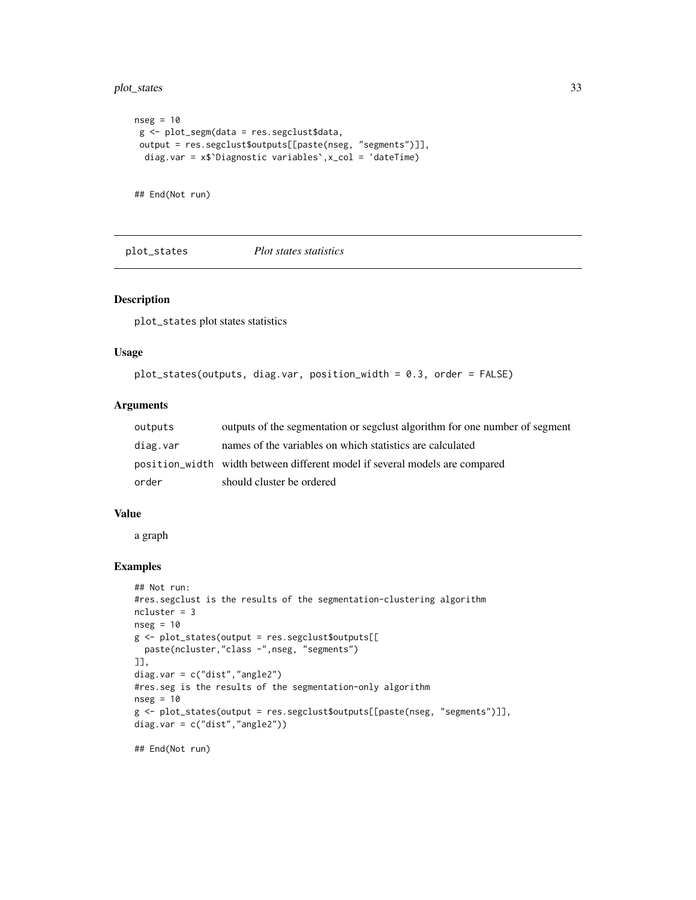<span id="page-32-0"></span>plot\_states 33

```
nseg = 10g <- plot_segm(data = res.segclust$data,
output = res.segclust$outputs[[paste(nseg, "segments")]],
 diag.var = x$`Diagnostic variables`,x_col = 'dateTime)
```
## End(Not run)

plot\_states *Plot states statistics*

### Description

plot\_states plot states statistics

# Usage

```
plot_states(outputs, diag.var, position_width = 0.3, order = FALSE)
```
# Arguments

| outputs  | outputs of the segmentation or segclust algorithm for one number of segment |
|----------|-----------------------------------------------------------------------------|
| diag.var | names of the variables on which statistics are calculated                   |
|          | position_width width between different model if several models are compared |
| order    | should cluster be ordered                                                   |

### Value

a graph

```
## Not run:
#res.segclust is the results of the segmentation-clustering algorithm
ncluster = 3
nseg = 10
g <- plot_states(output = res.segclust$outputs[[
 paste(ncluster,"class -",nseg, "segments")
]],
diag.var = c("dist","angle2")
#res.seg is the results of the segmentation-only algorithm
nseg = 10g <- plot_states(output = res.segclust$outputs[[paste(nseg, "segments")]],
diag.var = c("dist","angle2"))
```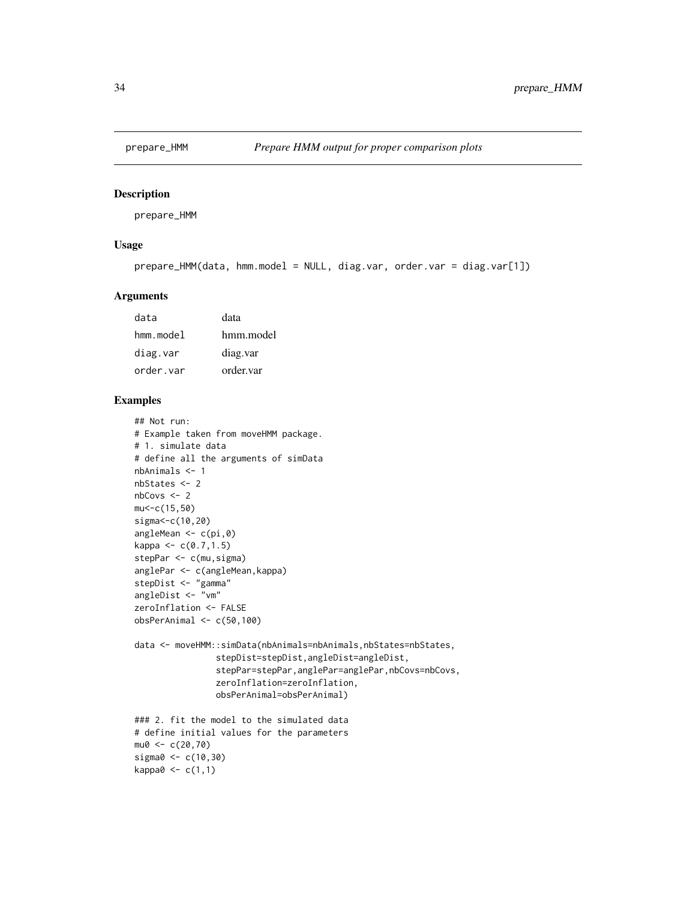<span id="page-33-0"></span>

prepare\_HMM

# Usage

```
prepare_HMM(data, hmm.model = NULL, diag.var, order.var = diag.var[1])
```
#### Arguments

| data         | data      |
|--------------|-----------|
| $h$ mm.model | hmm.model |
| diag.var     | diag.var  |
| order.var    | order.var |

```
## Not run:
# Example taken from moveHMM package.
# 1. simulate data
# define all the arguments of simData
nbAnimals <- 1
nbStates <- 2
nbCovs < -2mu<-c(15,50)
sigma<-c(10,20)
angleMean <- c(pi,0)
kappa < -c(0.7, 1.5)stepPar <- c(mu,sigma)
anglePar <- c(angleMean,kappa)
stepDist <- "gamma"
angleDist <- "vm"
zeroInflation <- FALSE
obsPerAnimal <- c(50,100)
data <- moveHMM::simData(nbAnimals=nbAnimals,nbStates=nbStates,
                stepDist=stepDist,angleDist=angleDist,
                stepPar=stepPar,anglePar=anglePar,nbCovs=nbCovs,
                zeroInflation=zeroInflation,
                obsPerAnimal=obsPerAnimal)
### 2. fit the model to the simulated data
# define initial values for the parameters
mu0 < -c(20, 70)sigma0 <- c(10,30)
kappa0 <- c(1,1)
```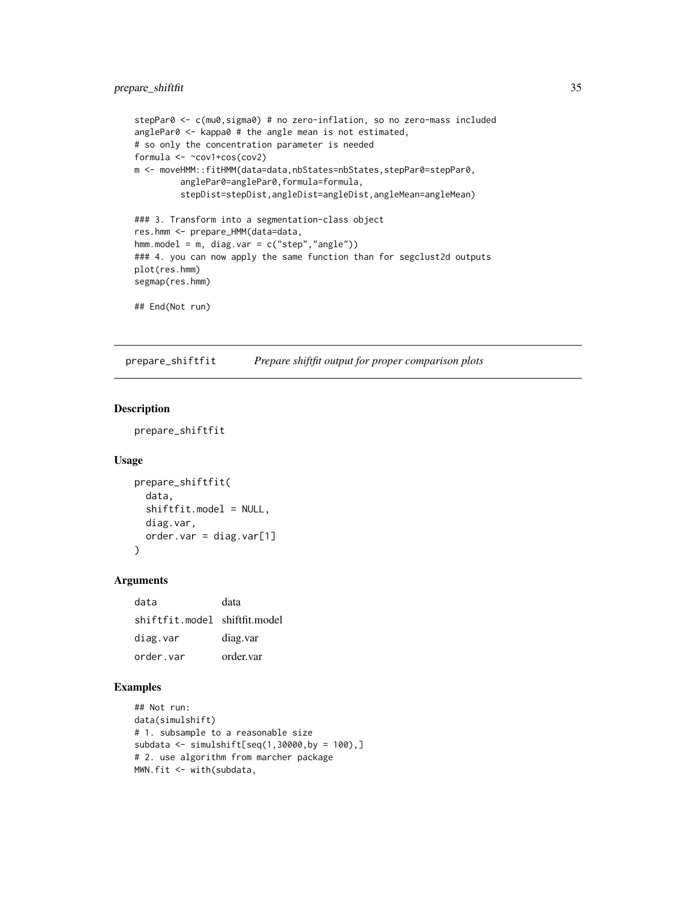```
stepPar0 <- c(mu0, sigma0) # no zero-inflation, so no zero-mass included
anglePar0 <- kappa0 # the angle mean is not estimated,
# so only the concentration parameter is needed
formula <- ~cov1+cos(cov2)
m <- moveHMM::fitHMM(data=data,nbStates=nbStates,stepPar0=stepPar0,
         anglePar0=anglePar0,formula=formula,
         stepDist=stepDist,angleDist=angleDist,angleMean=angleMean)
### 3. Transform into a segmentation-class object
res.hmm <- prepare_HMM(data=data,
hmm.model = m, diag.var = c("step","angle"))
### 4. you can now apply the same function than for segclust2d outputs
plot(res.hmm)
segmap(res.hmm)
```
## End(Not run)

prepare\_shiftfit *Prepare shiftfit output for proper comparison plots*

### Description

prepare\_shiftfit

#### Usage

```
prepare_shiftfit(
  data,
  shiftfit.model = NULL,
  diag.var,
  order.var = diag.var[1]
)
```
# Arguments

| data                          | data      |
|-------------------------------|-----------|
| shiftfit.model shiftfit.model |           |
| diag.var                      | diag.var  |
| order.var                     | order.var |

```
## Not run:
data(simulshift)
# 1. subsample to a reasonable size
subdata <- simulshift[seq(1,30000,by = 100),]
# 2. use algorithm from marcher package
MWN.fit <- with(subdata,
```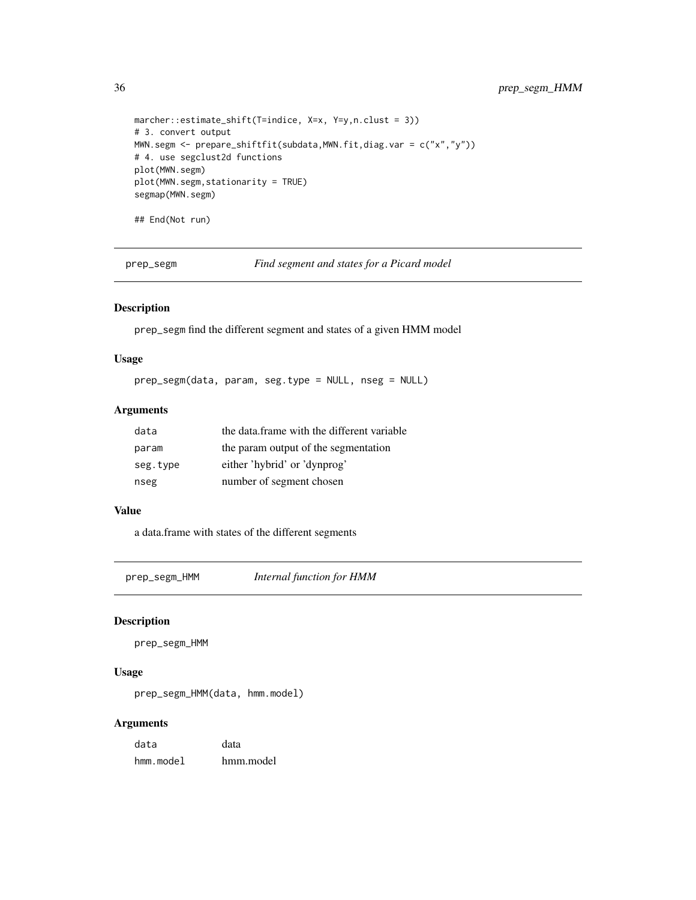```
marcher::estimate_shift(T=indice, X=x, Y=y,n.clust = 3))
# 3. convert output
MWN.segm <- prepare_shiftfit(subdata,MWN.fit,diag.var = c("x","y"))
# 4. use segclust2d functions
plot(MWN.segm)
plot(MWN.segm,stationarity = TRUE)
segmap(MWN.segm)
## End(Not run)
```
prep\_segm *Find segment and states for a Picard model*

# Description

prep\_segm find the different segment and states of a given HMM model

#### Usage

prep\_segm(data, param, seg.type = NULL, nseg = NULL)

# Arguments

| data     | the data frame with the different variable |
|----------|--------------------------------------------|
| param    | the param output of the segmentation       |
| seg.type | either 'hybrid' or 'dynprog'               |
| nseg     | number of segment chosen                   |

# Value

a data.frame with states of the different segments

prep\_segm\_HMM *Internal function for HMM*

# Description

prep\_segm\_HMM

### Usage

prep\_segm\_HMM(data, hmm.model)

### Arguments

| data      | data      |
|-----------|-----------|
| hmm.model | hmm.model |

<span id="page-35-0"></span>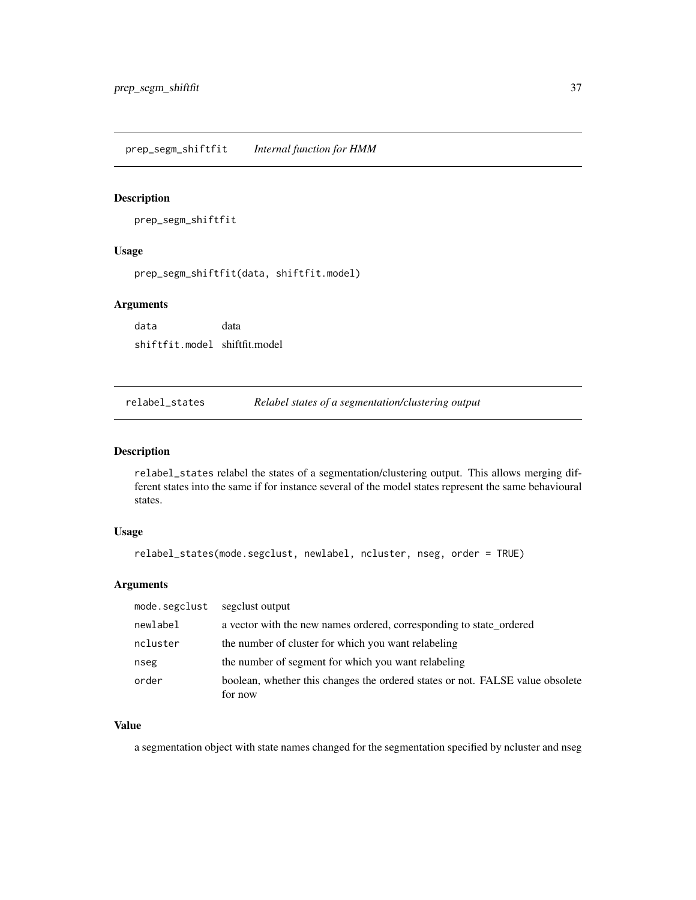<span id="page-36-0"></span>prep\_segm\_shiftfit *Internal function for HMM*

### Description

prep\_segm\_shiftfit

# Usage

prep\_segm\_shiftfit(data, shiftfit.model)

### Arguments

data data shiftfit.model shiftfit.model

relabel\_states *Relabel states of a segmentation/clustering output*

### Description

relabel\_states relabel the states of a segmentation/clustering output. This allows merging different states into the same if for instance several of the model states represent the same behavioural states.

# Usage

```
relabel_states(mode.segclust, newlabel, ncluster, nseg, order = TRUE)
```
### Arguments

| mode.segclust | segglust output                                                               |
|---------------|-------------------------------------------------------------------------------|
| newlabel      | a vector with the new names ordered, corresponding to state_ordered           |
| ncluster      | the number of cluster for which you want relabeling                           |
| nseg          | the number of segment for which you want relabeling                           |
| order         | boolean, whether this changes the ordered states or not. FALSE value obsolete |
|               | for now                                                                       |

# Value

a segmentation object with state names changed for the segmentation specified by ncluster and nseg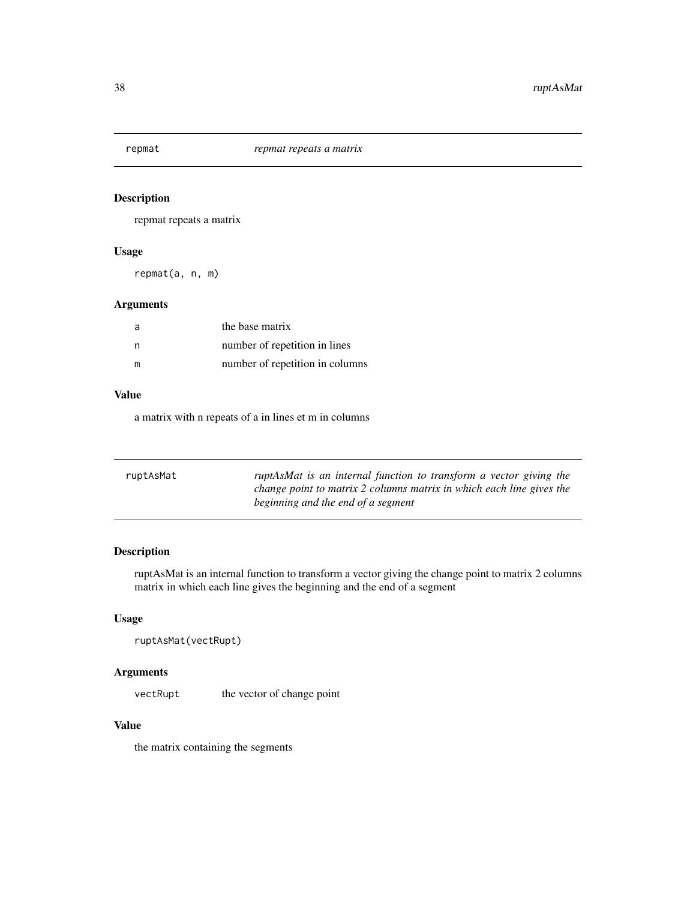<span id="page-37-0"></span>

repmat repeats a matrix

### Usage

repmat(a, n, m)

# Arguments

| a | the base matrix                 |
|---|---------------------------------|
| n | number of repetition in lines   |
| m | number of repetition in columns |

# Value

a matrix with n repeats of a in lines et m in columns

| ruptAsMat | ruptAsMat is an internal function to transform a vector giving the<br>change point to matrix 2 columns matrix in which each line gives the |
|-----------|--------------------------------------------------------------------------------------------------------------------------------------------|
|           | beginning and the end of a segment                                                                                                         |

# Description

ruptAsMat is an internal function to transform a vector giving the change point to matrix 2 columns matrix in which each line gives the beginning and the end of a segment

# Usage

```
ruptAsMat(vectRupt)
```
# Arguments

vectRupt the vector of change point

# Value

the matrix containing the segments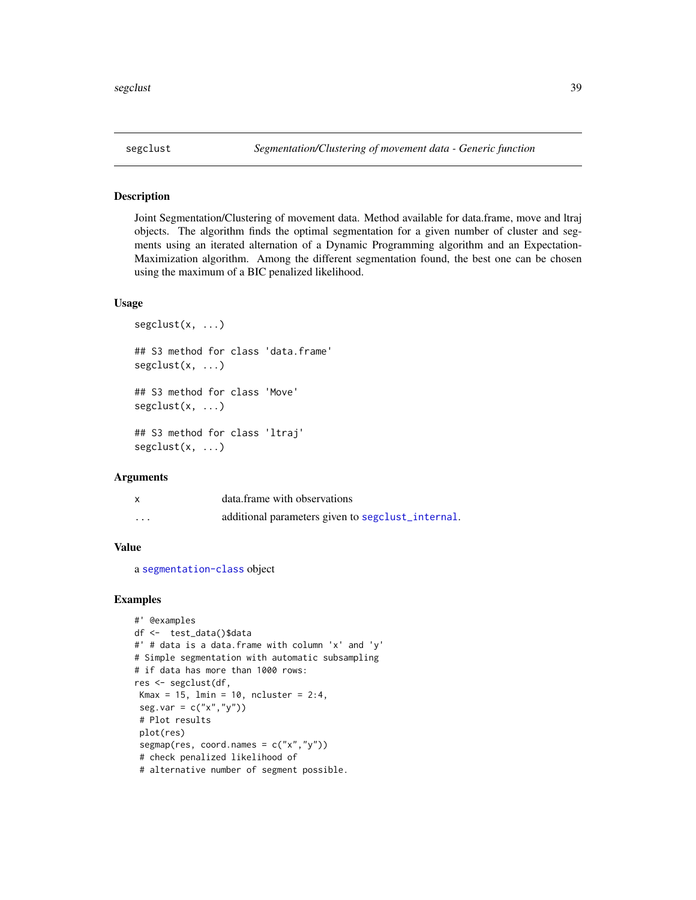<span id="page-38-1"></span><span id="page-38-0"></span>Joint Segmentation/Clustering of movement data. Method available for data.frame, move and ltraj objects. The algorithm finds the optimal segmentation for a given number of cluster and segments using an iterated alternation of a Dynamic Programming algorithm and an Expectation-Maximization algorithm. Among the different segmentation found, the best one can be chosen using the maximum of a BIC penalized likelihood.

### Usage

```
segclust(x, ...)
## S3 method for class 'data.frame'
segclust(x, ...)
## S3 method for class 'Move'
segclust(x, ...)
## S3 method for class 'ltraj'
segclust(x, ...)
```
#### Arguments

|         | data.frame with observations                     |
|---------|--------------------------------------------------|
| $\cdot$ | additional parameters given to seguent_internal. |

# Value

a [segmentation-class](#page-43-1) object

```
#' @examples
df <- test_data()$data
#' # data is a data.frame with column 'x' and 'y'
# Simple segmentation with automatic subsampling
# if data has more than 1000 rows:
res <- segclust(df,
Kmax = 15, lmin = 10, ncluster = 2:4,
seg.var = c("x", "y")# Plot results
plot(res)
segmap(res, coord.names = c("x", "y"))
# check penalized likelihood of
# alternative number of segment possible.
```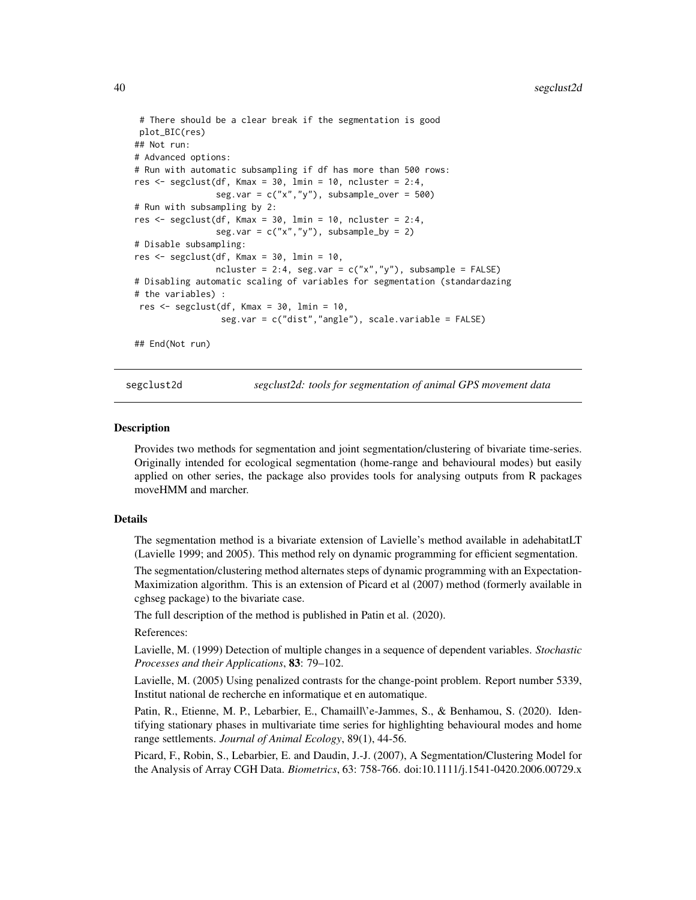```
# There should be a clear break if the segmentation is good
plot_BIC(res)
## Not run:
# Advanced options:
# Run with automatic subsampling if df has more than 500 rows:
res \le segclust(df, Kmax = 30, lmin = 10, ncluster = 2:4,
                seg.var = c("x", "y"), subsample_over = 500)
# Run with subsampling by 2:
res \leq segclust(df, Kmax = 30, lmin = 10, ncluster = 2:4,
                seg.var = c("x", "y"), subsample_by = 2)
# Disable subsampling:
res \leq segclust(df, Kmax = 30, lmin = 10,
                ncluster = 2:4, seg.var = c("x", "y"), subsample = FALSE)
# Disabling automatic scaling of variables for segmentation (standardazing
# the variables) :
res <- segclust(df, Kmax = 30, lmin = 10,
                 seg.var = c("dist","angle"), scale.variable = FALSE)
## End(Not run)
```
segclust2d *segclust2d: tools for segmentation of animal GPS movement data*

#### **Description**

Provides two methods for segmentation and joint segmentation/clustering of bivariate time-series. Originally intended for ecological segmentation (home-range and behavioural modes) but easily applied on other series, the package also provides tools for analysing outputs from R packages moveHMM and marcher.

#### Details

The segmentation method is a bivariate extension of Lavielle's method available in adehabitatLT (Lavielle 1999; and 2005). This method rely on dynamic programming for efficient segmentation.

The segmentation/clustering method alternates steps of dynamic programming with an Expectation-Maximization algorithm. This is an extension of Picard et al (2007) method (formerly available in cghseg package) to the bivariate case.

The full description of the method is published in Patin et al. (2020).

References:

Lavielle, M. (1999) Detection of multiple changes in a sequence of dependent variables. *Stochastic Processes and their Applications*, 83: 79–102.

Lavielle, M. (2005) Using penalized contrasts for the change-point problem. Report number 5339, Institut national de recherche en informatique et en automatique.

Patin, R., Etienne, M. P., Lebarbier, E., Chamaill\'e-Jammes, S., & Benhamou, S. (2020). Identifying stationary phases in multivariate time series for highlighting behavioural modes and home range settlements. *Journal of Animal Ecology*, 89(1), 44-56.

Picard, F., Robin, S., Lebarbier, E. and Daudin, J.-J. (2007), A Segmentation/Clustering Model for the Analysis of Array CGH Data. *Biometrics*, 63: 758-766. doi:10.1111/j.1541-0420.2006.00729.x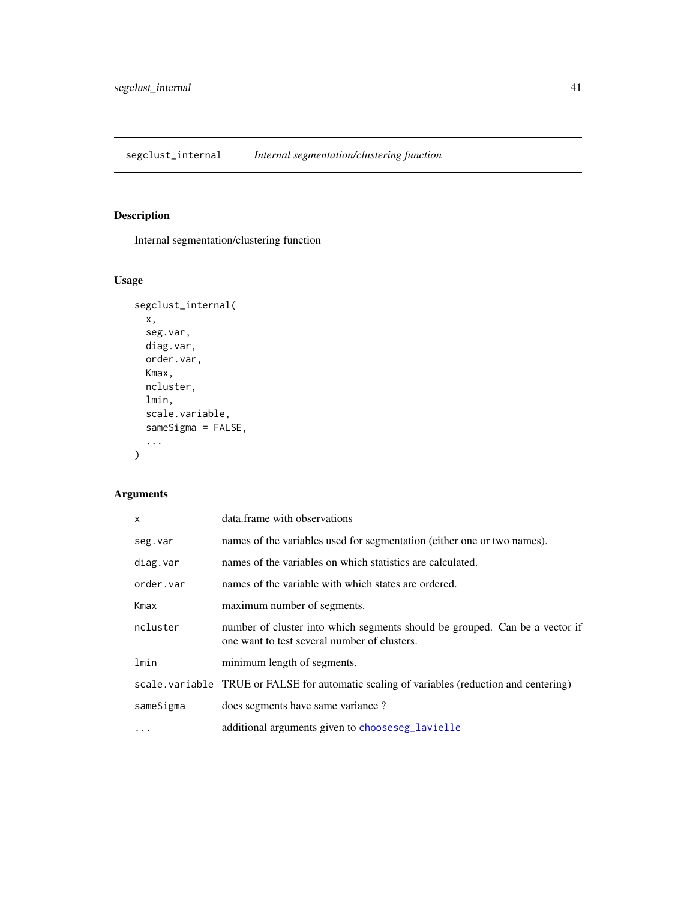<span id="page-40-1"></span><span id="page-40-0"></span>segclust\_internal *Internal segmentation/clustering function*

# Description

Internal segmentation/clustering function

# Usage

```
segclust_internal(
  x,
  seg.var,
  diag.var,
  order.var,
  Kmax,
  ncluster,
  lmin,
  scale.variable,
  sameSigma = FALSE,
  ...
\mathcal{L}
```
# Arguments

| $\mathsf{x}$ | data.frame with observations                                                                                                |
|--------------|-----------------------------------------------------------------------------------------------------------------------------|
| seg.var      | names of the variables used for segmentation (either one or two names).                                                     |
| diag.var     | names of the variables on which statistics are calculated.                                                                  |
| order.var    | names of the variable with which states are ordered.                                                                        |
| Kmax         | maximum number of segments.                                                                                                 |
| ncluster     | number of cluster into which segments should be grouped. Can be a vector if<br>one want to test several number of clusters. |
| lmin         | minimum length of segments.                                                                                                 |
|              | scale. variable TRUE or FALSE for automatic scaling of variables (reduction and centering)                                  |
| sameSigma    | does segments have same variance?                                                                                           |
| $\cdots$     | additional arguments given to chooseseg_lavielle                                                                            |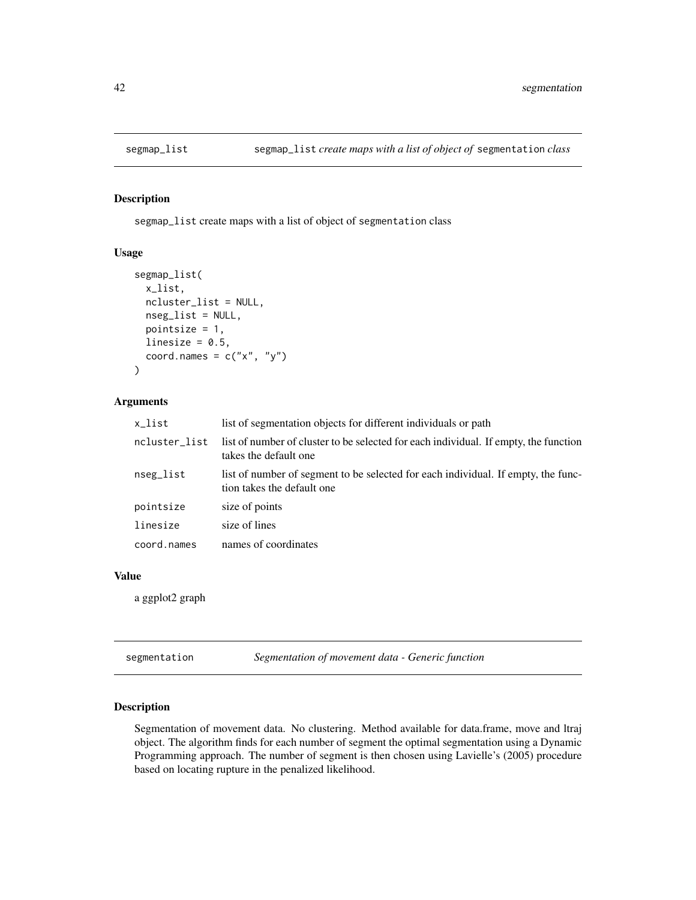<span id="page-41-0"></span>

segmap\_list create maps with a list of object of segmentation class

### Usage

```
segmap_list(
  x_list,
 ncluster_list = NULL,
 nseg_list = NULL,
 pointsize = 1,
  linesize = 0.5,
  coord.names = c("x", "y"))
```
#### Arguments

| x_list        | list of segmentation objects for different individuals or path                                                  |
|---------------|-----------------------------------------------------------------------------------------------------------------|
| ncluster_list | list of number of cluster to be selected for each individual. If empty, the function<br>takes the default one   |
| nseg_list     | list of number of segment to be selected for each individual. If empty, the func-<br>tion takes the default one |
| pointsize     | size of points                                                                                                  |
| linesize      | size of lines                                                                                                   |
| coord.names   | names of coordinates                                                                                            |
|               |                                                                                                                 |

# Value

a ggplot2 graph

<span id="page-41-1"></span>segmentation *Segmentation of movement data - Generic function*

### Description

Segmentation of movement data. No clustering. Method available for data.frame, move and ltraj object. The algorithm finds for each number of segment the optimal segmentation using a Dynamic Programming approach. The number of segment is then chosen using Lavielle's (2005) procedure based on locating rupture in the penalized likelihood.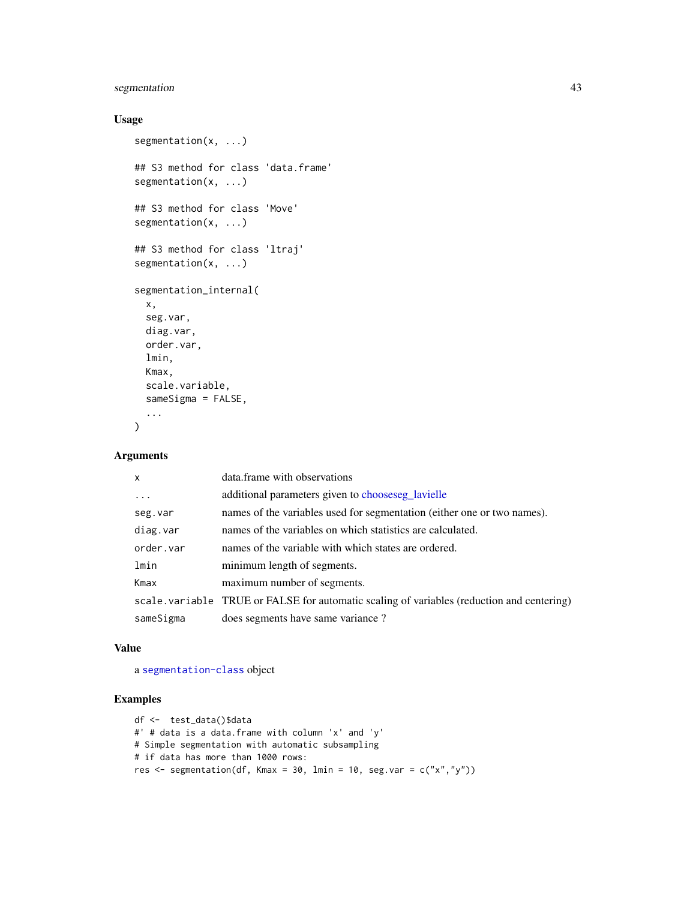# <span id="page-42-0"></span>segmentation 43

# Usage

```
segmentation(x, ...)
## S3 method for class 'data.frame'
segmentation(x, ...)
## S3 method for class 'Move'
segmentation(x, ...)
## S3 method for class 'ltraj'
segmentation(x, ...)
segmentation_internal(
 x,
 seg.var,
 diag.var,
 order.var,
 lmin,
 Kmax,
 scale.variable,
  sameSigma = FALSE,
  ...
)
```
# Arguments

| $\mathsf{x}$ | data.frame with observations                                                              |
|--------------|-------------------------------------------------------------------------------------------|
| $\ddots$ .   | additional parameters given to chooseseg lavielle                                         |
| seg.var      | names of the variables used for segmentation (either one or two names).                   |
| diag.var     | names of the variables on which statistics are calculated.                                |
| order.var    | names of the variable with which states are ordered.                                      |
| lmin         | minimum length of segments.                                                               |
| Kmax         | maximum number of segments.                                                               |
|              | scale variable TRUE or FALSE for automatic scaling of variables (reduction and centering) |
| sameSigma    | does segments have same variance?                                                         |

#### Value

a [segmentation-class](#page-43-1) object

```
df <- test_data()$data
#' # data is a data.frame with column 'x' and 'y'
# Simple segmentation with automatic subsampling
# if data has more than 1000 rows:
res \leq segmentation(df, Kmax = 30, lmin = 10, seg.var = c("x","y"))
```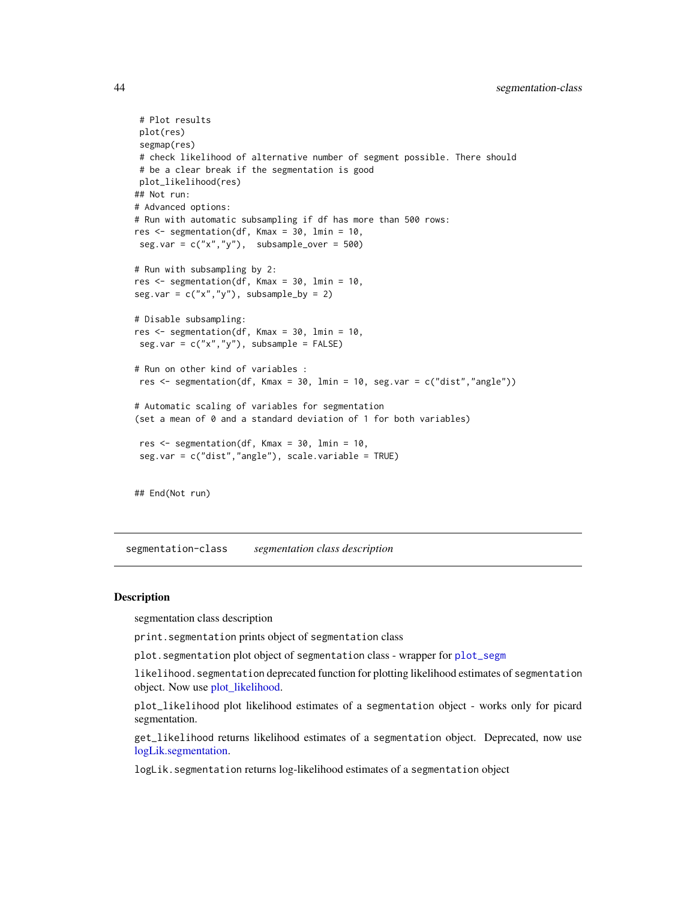```
# Plot results
plot(res)
segmap(res)
# check likelihood of alternative number of segment possible. There should
# be a clear break if the segmentation is good
plot_likelihood(res)
## Not run:
# Advanced options:
# Run with automatic subsampling if df has more than 500 rows:
res <- segmentation(df, Kmax = 30, lmin = 10,
seg.var = c("x", "y"), subsample_over = 500)
# Run with subsampling by 2:
res <- segmentation(df, Kmax = 30, lmin = 10,
seg.var = c("x", "y"), subsample_by = 2)# Disable subsampling:
res <- segmentation(df, Kmax = 30, lmin = 10,
seg.var = c("x", "y"), subsample = FALSE)# Run on other kind of variables :
res \leq segmentation(df, Kmax = 30, lmin = 10, seg.var = c("dist","angle"))
# Automatic scaling of variables for segmentation
(set a mean of 0 and a standard deviation of 1 for both variables)
 res <- segmentation(df, Kmax = 30, lmin = 10,
 seg.var = c("dist","angle"), scale.variable = TRUE)
```
## End(Not run)

<span id="page-43-1"></span>segmentation-class *segmentation class description*

#### <span id="page-43-2"></span>**Description**

segmentation class description

print.segmentation prints object of segmentation class

plot. segmentation plot object of segmentation class - wrapper for [plot\\_segm](#page-31-1)

likelihood.segmentation deprecated function for plotting likelihood estimates of segmentation object. Now use [plot\\_likelihood.](#page-43-2)

plot\_likelihood plot likelihood estimates of a segmentation object - works only for picard segmentation.

get\_likelihood returns likelihood estimates of a segmentation object. Deprecated, now use [logLik.segmentation.](#page-43-2)

logLik.segmentation returns log-likelihood estimates of a segmentation object

<span id="page-43-0"></span>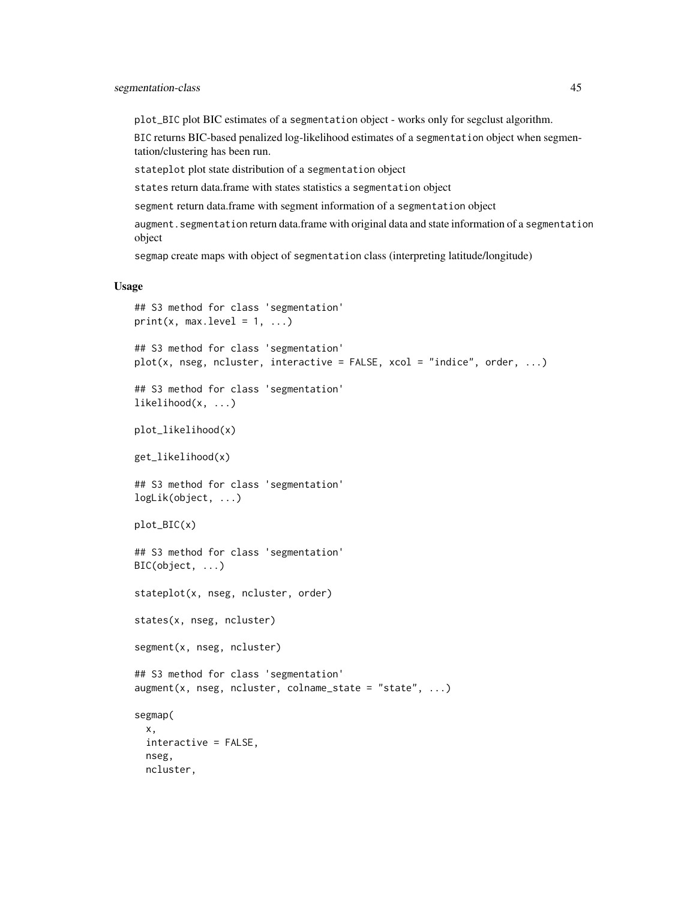plot\_BIC plot BIC estimates of a segmentation object - works only for segclust algorithm.

BIC returns BIC-based penalized log-likelihood estimates of a segmentation object when segmentation/clustering has been run.

stateplot plot state distribution of a segmentation object

states return data.frame with states statistics a segmentation object

segment return data.frame with segment information of a segmentation object

augment.segmentation return data.frame with original data and state information of a segmentation object

segmap create maps with object of segmentation class (interpreting latitude/longitude)

### Usage

```
## S3 method for class 'segmentation'
print(x, max.level = 1, ...)## S3 method for class 'segmentation'
plot(x, nseg, ncluster, interactive = FALSE, xcol = "indice", order, ...)## S3 method for class 'segmentation'
likelihood(x, ...)
plot_likelihood(x)
get_likelihood(x)
## S3 method for class 'segmentation'
logLik(object, ...)
plot_BIC(x)
## S3 method for class 'segmentation'
BIC(object, ...)
stateplot(x, nseg, ncluster, order)
states(x, nseg, ncluster)
segment(x, nseg, ncluster)
## S3 method for class 'segmentation'
augment(x, nseg, ncluster, colname\_state = "state", ...)segmap(
  x,
  interactive = FALSE,
  nseg,
 ncluster,
```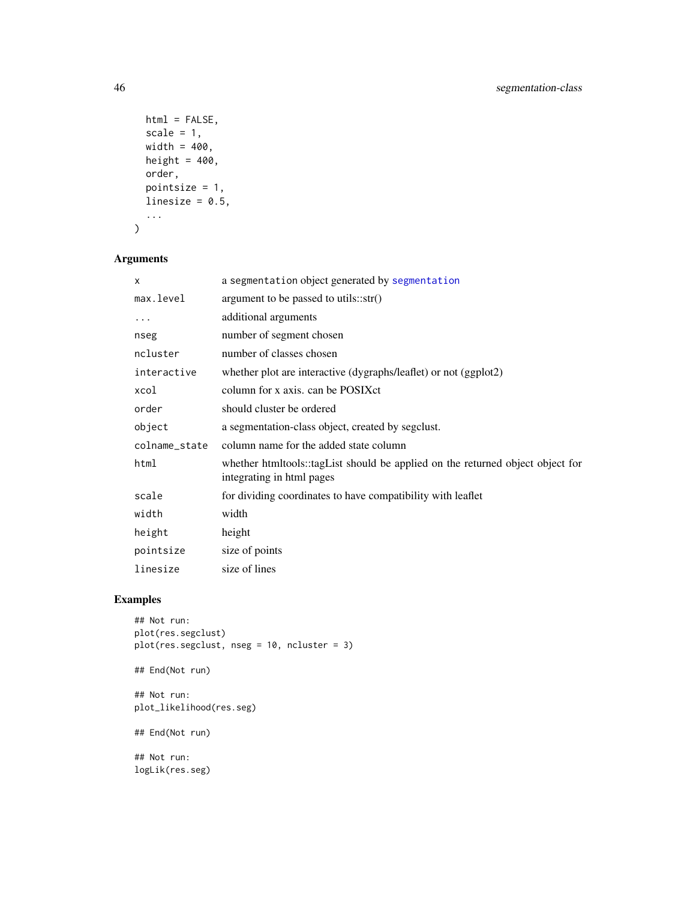```
html = FALSE,scale = 1,
 width = 400,
 height = 400,
 order,
 pointsize = 1,
 linesize = 0.5,
  ...
)
```
# Arguments

| X             | a segmentation object generated by segmentation                                                             |
|---------------|-------------------------------------------------------------------------------------------------------------|
| max.level     | argument to be passed to utils:: $str()$                                                                    |
| .             | additional arguments                                                                                        |
| nseg          | number of segment chosen                                                                                    |
| ncluster      | number of classes chosen                                                                                    |
| interactive   | whether plot are interactive (dygraphs/leaflet) or not (ggplot2)                                            |
| xcol          | column for x axis, can be POSIX ct                                                                          |
| order         | should cluster be ordered                                                                                   |
| object        | a segmentation-class object, created by segclust.                                                           |
| colname_state | column name for the added state column                                                                      |
| html          | whether htmltools::tagList should be applied on the returned object object for<br>integrating in html pages |
| scale         | for dividing coordinates to have compatibility with leaflet                                                 |
| width         | width                                                                                                       |
| height        | height                                                                                                      |
| pointsize     | size of points                                                                                              |
| linesize      | size of lines                                                                                               |

```
## Not run:
plot(res.segclust)
plot(res.segclust, nseg = 10, ncluster = 3)
## End(Not run)
## Not run:
plot_likelihood(res.seg)
## End(Not run)
## Not run:
logLik(res.seg)
```
<span id="page-45-0"></span>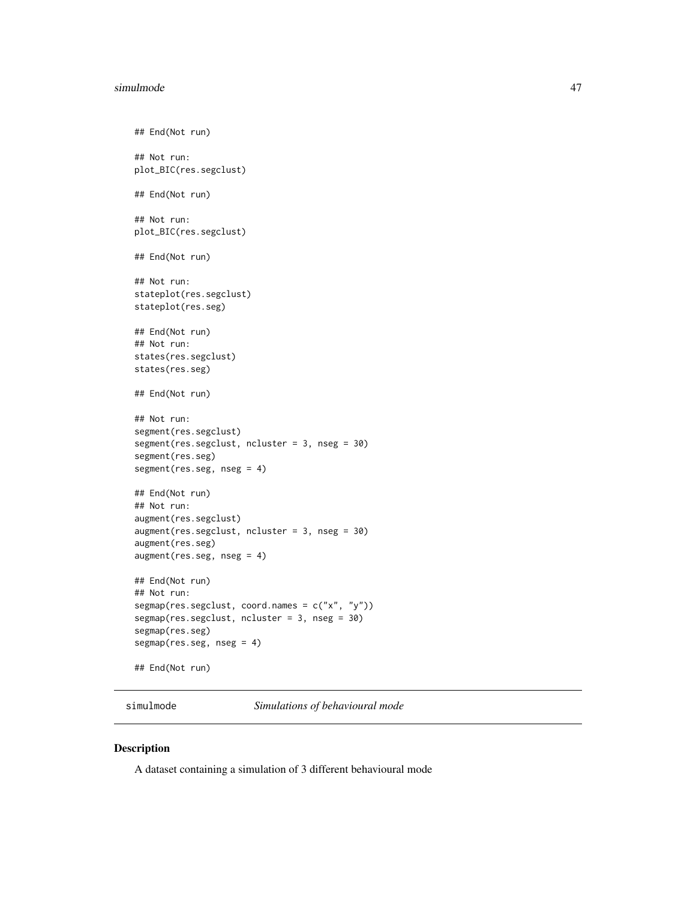#### <span id="page-46-0"></span>simulmode that the state of the state of the state of the state of the state of the state of the state of the state of the state of the state of the state of the state of the state of the state of the state of the state of

```
## End(Not run)
## Not run:
plot_BIC(res.segclust)
## End(Not run)
## Not run:
plot_BIC(res.segclust)
## End(Not run)
## Not run:
stateplot(res.segclust)
stateplot(res.seg)
## End(Not run)
## Not run:
states(res.segclust)
states(res.seg)
## End(Not run)
## Not run:
segment(res.segclust)
segment(res.segclust, ncluster = 3, nseg = 30)
segment(res.seg)
segment(res.seg, nseg = 4)
## End(Not run)
## Not run:
augment(res.segclust)
augment(res.segclust, ncluster = 3, nseg = 30)
augment(res.seg)
augment(res.seg, nseg = 4)
## End(Not run)
## Not run:
segmap(res.segclust, coord.names = c("x", "y"))
segmap(res.segclust, ncluster = 3, nseg = 30)
segmap(res.seg)
segmap(res.seg, nseg = 4)
## End(Not run)
```
simulmode *Simulations of behavioural mode*

#### Description

A dataset containing a simulation of 3 different behavioural mode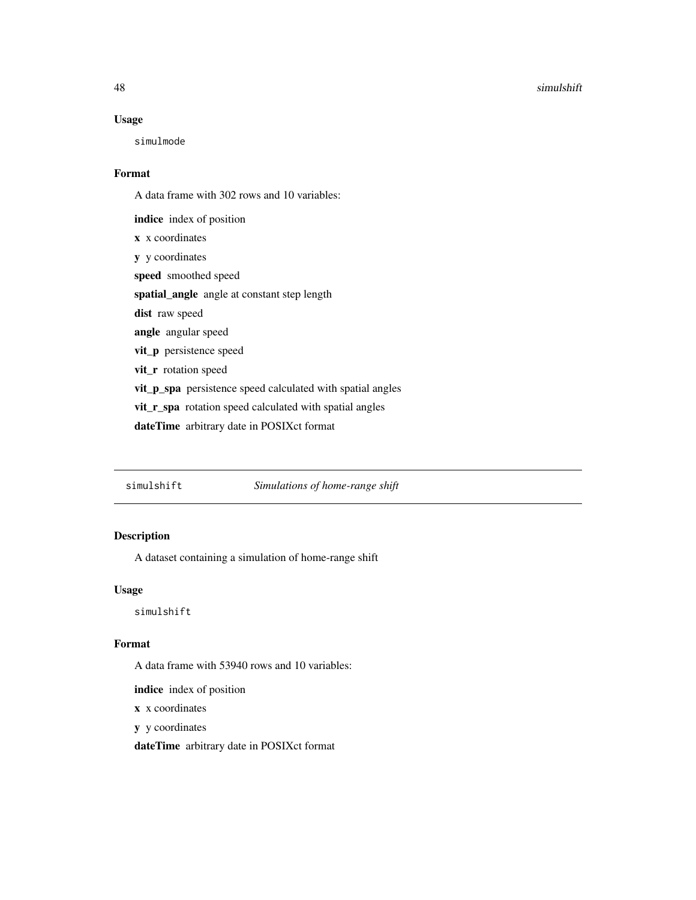#### 48 simulshift

### Usage

simulmode

### Format

A data frame with 302 rows and 10 variables:

indice index of position x x coordinates y y coordinates speed smoothed speed spatial\_angle angle at constant step length dist raw speed angle angular speed vit\_p persistence speed vit\_r rotation speed vit\_p\_spa persistence speed calculated with spatial angles vit\_r\_spa rotation speed calculated with spatial angles dateTime arbitrary date in POSIXct format

simulshift *Simulations of home-range shift*

# Description

A dataset containing a simulation of home-range shift

### Usage

simulshift

# Format

A data frame with 53940 rows and 10 variables:

indice index of position

x x coordinates

y y coordinates

dateTime arbitrary date in POSIXct format

<span id="page-47-0"></span>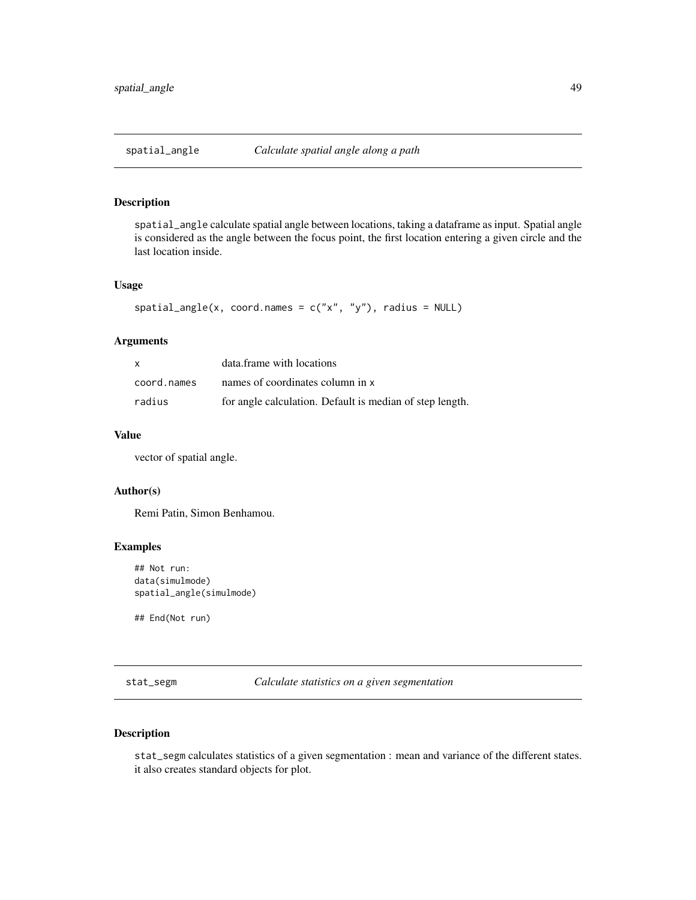<span id="page-48-0"></span>

spatial\_angle calculate spatial angle between locations, taking a dataframe as input. Spatial angle is considered as the angle between the focus point, the first location entering a given circle and the last location inside.

#### Usage

```
spatial\_angle(x, coord.name = c("x", "y"), radius = NULL)
```
### Arguments

| $\mathsf{x}$ | data.frame with locations                                |
|--------------|----------------------------------------------------------|
| coord.names  | names of coordinates column in x                         |
| radius       | for angle calculation. Default is median of step length. |

### Value

vector of spatial angle.

## Author(s)

Remi Patin, Simon Benhamou.

## Examples

```
## Not run:
data(simulmode)
spatial_angle(simulmode)
```
## End(Not run)

stat\_segm *Calculate statistics on a given segmentation*

# Description

stat\_segm calculates statistics of a given segmentation : mean and variance of the different states. it also creates standard objects for plot.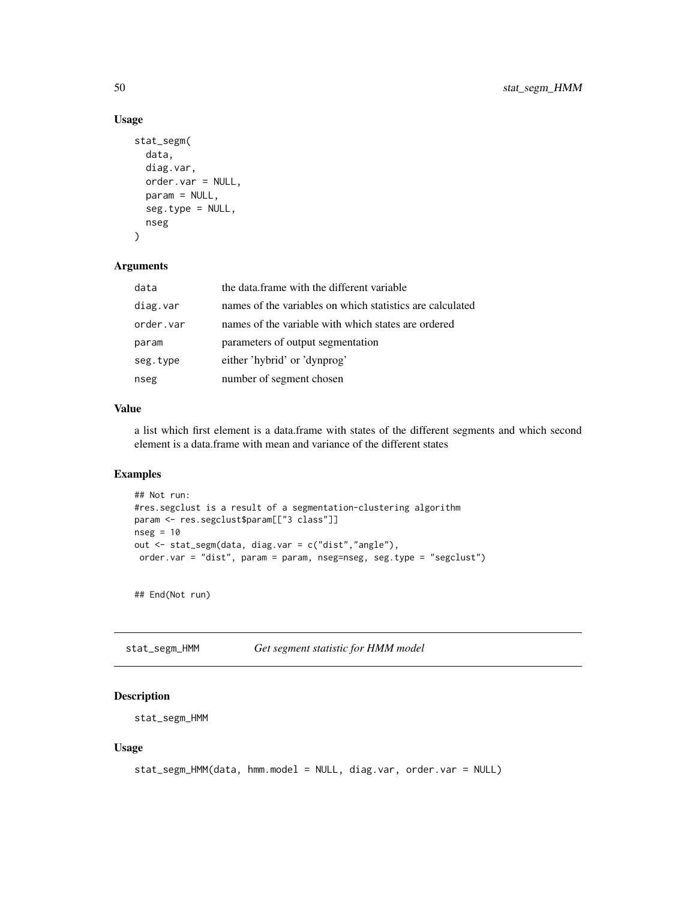# Usage

```
stat_segm(
  data,
  diag.var,
 order.var = NULL,
 param = NULL,
  seg.type = NULL,
 nseg
)
```
### Arguments

| data      | the data.frame with the different variable                |
|-----------|-----------------------------------------------------------|
| diag.var  | names of the variables on which statistics are calculated |
| order.var | names of the variable with which states are ordered       |
| param     | parameters of output segmentation                         |
| seg.type  | either 'hybrid' or 'dynprog'                              |
| nseg      | number of segment chosen                                  |

### Value

a list which first element is a data.frame with states of the different segments and which second element is a data.frame with mean and variance of the different states

# Examples

```
## Not run:
#res.segclust is a result of a segmentation-clustering algorithm
param <- res.segclust$param[["3 class"]]
nseg = 10out <- stat_segm(data, diag.var = c("dist","angle"),
 order.var = "dist", param = param, nseg=nseg, seg.type = "segclust")
```
## End(Not run)

stat\_segm\_HMM *Get segment statistic for HMM model*

# Description

```
stat_segm_HMM
```
### Usage

```
stat_segm_HMM(data, hmm.model = NULL, diag.var, order.var = NULL)
```
<span id="page-49-0"></span>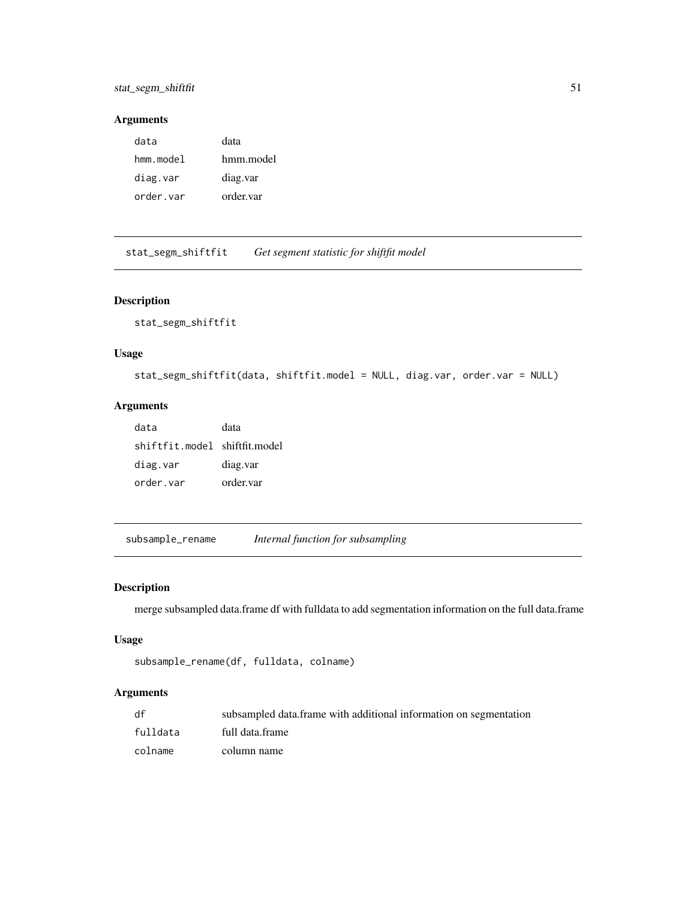# <span id="page-50-0"></span>stat\_segm\_shiftfit 51

# Arguments

| data      | data      |
|-----------|-----------|
| hmm.model | hmm.model |
| diag.var  | diag.var  |
| order.var | order.var |

stat\_segm\_shiftfit *Get segment statistic for shiftfit model*

# Description

stat\_segm\_shiftfit

# Usage

```
stat_segm_shiftfit(data, shiftfit.model = NULL, diag.var, order.var = NULL)
```
# Arguments

| data                          | data      |
|-------------------------------|-----------|
| shiftfit.model shiftfit.model |           |
| diag.var                      | diag.var  |
| order.var                     | order.var |

subsample\_rename *Internal function for subsampling*

# Description

merge subsampled data.frame df with fulldata to add segmentation information on the full data.frame

### Usage

```
subsample_rename(df, fulldata, colname)
```
# Arguments

| df       | subsampled data.frame with additional information on segmentation |
|----------|-------------------------------------------------------------------|
| fulldata | full data.frame                                                   |
| colname  | column name                                                       |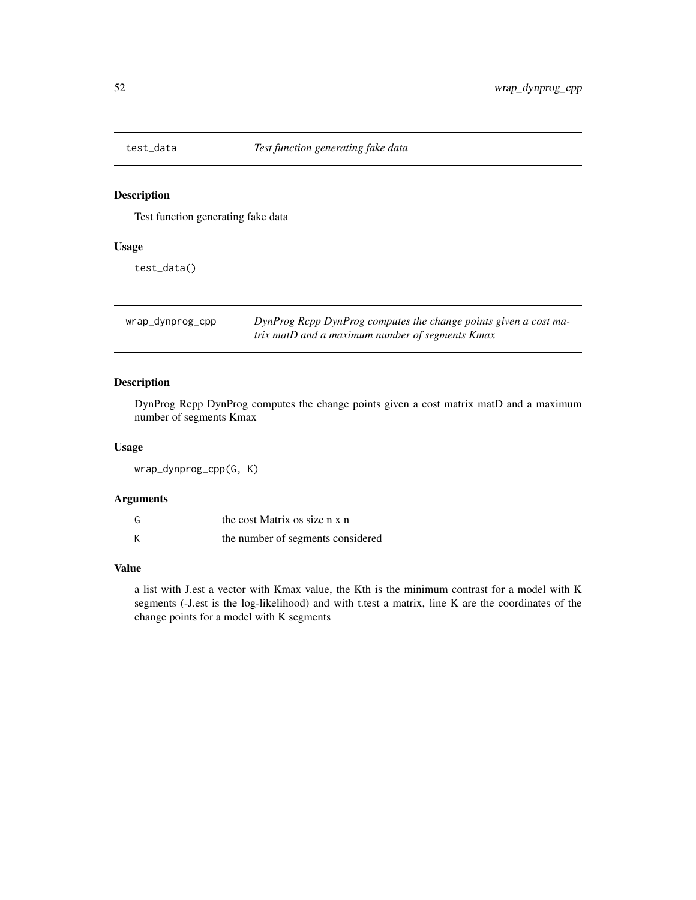<span id="page-51-0"></span>

Test function generating fake data

# Usage

test\_data()

| wrap_dynprog_cpp | DynProg Rcpp DynProg computes the change points given a cost ma- |
|------------------|------------------------------------------------------------------|
|                  | trix matD and a maximum number of segments Kmax                  |

# Description

DynProg Rcpp DynProg computes the change points given a cost matrix matD and a maximum number of segments Kmax

#### Usage

wrap\_dynprog\_cpp(G, K)

# Arguments

| G | the cost Matrix os size n x n     |
|---|-----------------------------------|
| К | the number of segments considered |

### Value

a list with J.est a vector with Kmax value, the Kth is the minimum contrast for a model with K segments (-J.est is the log-likelihood) and with t.test a matrix, line K are the coordinates of the change points for a model with K segments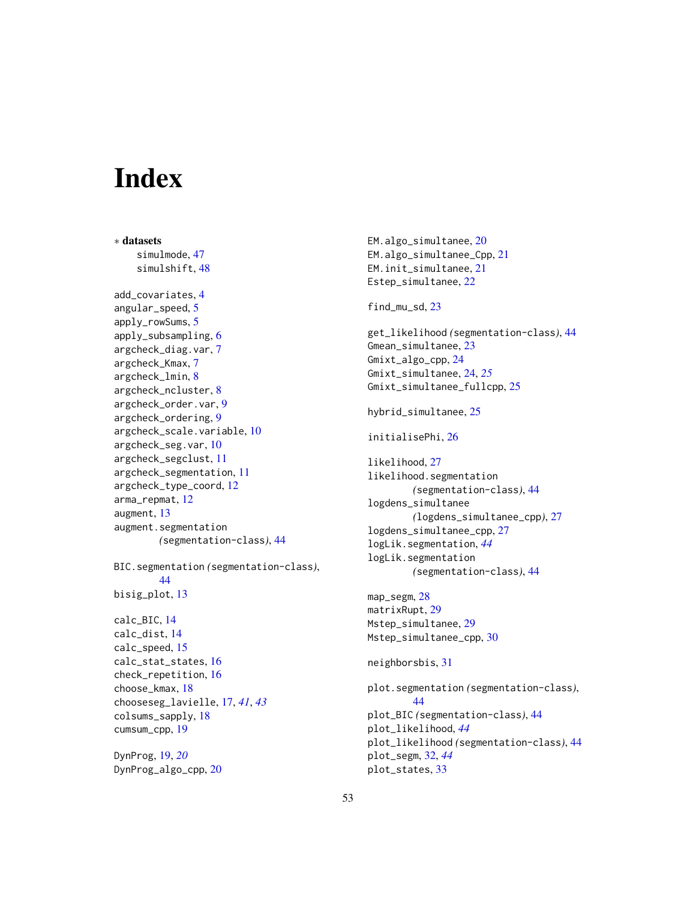# <span id="page-52-0"></span>**Index**

∗ datasets simulmode, [47](#page-46-0) simulshift, [48](#page-47-0) add\_covariates, [4](#page-3-0) angular\_speed, [5](#page-4-0) apply\_rowSums, [5](#page-4-0) apply\_subsampling, [6](#page-5-0) argcheck\_diag.var, [7](#page-6-0) argcheck\_Kmax, [7](#page-6-0) argcheck\_lmin, [8](#page-7-0) argcheck\_ncluster, [8](#page-7-0) argcheck\_order.var, [9](#page-8-0) argcheck\_ordering, [9](#page-8-0) argcheck\_scale.variable, [10](#page-9-0) argcheck\_seg.var, [10](#page-9-0) argcheck\_segclust, [11](#page-10-0) argcheck\_segmentation, [11](#page-10-0) argcheck\_type\_coord, [12](#page-11-0) arma\_repmat, [12](#page-11-0) augment, [13](#page-12-0) augment.segmentation *(*segmentation-class*)*, [44](#page-43-0) BIC.segmentation *(*segmentation-class*)*, [44](#page-43-0) bisig\_plot, [13](#page-12-0) calc\_BIC, [14](#page-13-0) calc\_dist, [14](#page-13-0) calc\_speed, [15](#page-14-0) calc\_stat\_states, [16](#page-15-0) check\_repetition, [16](#page-15-0) choose\_kmax, [18](#page-17-0) chooseseg\_lavielle, [17,](#page-16-0) *[41](#page-40-0)*, *[43](#page-42-0)* colsums\_sapply, [18](#page-17-0) cumsum\_cpp, [19](#page-18-0) DynProg, [19,](#page-18-0) *[20](#page-19-0)*

DynProg\_algo\_cpp, [20](#page-19-0)

EM.algo\_simultanee, [20](#page-19-0) EM.algo\_simultanee\_Cpp, [21](#page-20-0) EM.init\_simultanee, [21](#page-20-0) Estep\_simultanee, [22](#page-21-0) find\_mu\_sd, [23](#page-22-0) get\_likelihood *(*segmentation-class*)*, [44](#page-43-0) Gmean\_simultanee, [23](#page-22-0) Gmixt\_algo\_cpp, [24](#page-23-0) Gmixt\_simultanee, [24,](#page-23-0) *[25](#page-24-0)* Gmixt\_simultanee\_fullcpp, [25](#page-24-0) hybrid\_simultanee, [25](#page-24-0) initialisePhi, [26](#page-25-0) likelihood, [27](#page-26-0) likelihood.segmentation *(*segmentation-class*)*, [44](#page-43-0) logdens\_simultanee *(*logdens\_simultanee\_cpp*)*, [27](#page-26-0) logdens\_simultanee\_cpp, [27](#page-26-0) logLik.segmentation, *[44](#page-43-0)* logLik.segmentation *(*segmentation-class*)*, [44](#page-43-0) map\_segm, [28](#page-27-0) matrixRupt, [29](#page-28-0) Mstep\_simultanee, [29](#page-28-0) Mstep\_simultanee\_cpp, [30](#page-29-0) neighborsbis, [31](#page-30-0) plot.segmentation *(*segmentation-class*)*, [44](#page-43-0) plot\_BIC *(*segmentation-class*)*, [44](#page-43-0) plot\_likelihood, *[44](#page-43-0)* plot\_likelihood *(*segmentation-class*)*, [44](#page-43-0) plot\_segm, [32,](#page-31-0) *[44](#page-43-0)* plot\_states, [33](#page-32-0)